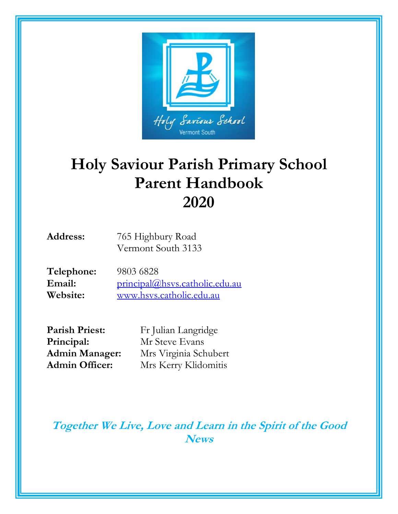

## **Holy Saviour Parish Primary School Parent Handbook 2020**

| <b>Address:</b> | 765 Highbury Road  |
|-----------------|--------------------|
|                 | Vermont South 3133 |

| Telephone: | 9803 6828                      |
|------------|--------------------------------|
| Email:     | principal@hsys.catholic.edu.au |
| Website:   | www.hsys.catholic.edu.au       |

Parish Priest: Fr Julian Langridge **Principal:** Mr Steve Evans

**Admin Manager:** Mrs Virginia Schubert **Admin Officer:** Mrs Kerry Klidomitis

**Together We Live, Love and Learn in the Spirit of the Good News**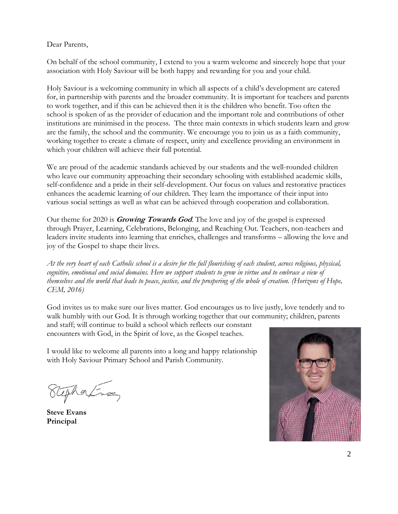#### <span id="page-1-0"></span>Dear Parents,

On behalf of the school community, I extend to you a warm welcome and sincerely hope that your association with Holy Saviour will be both happy and rewarding for you and your child.

Holy Saviour is a welcoming community in which all aspects of a child's development are catered for, in partnership with parents and the broader community. It is important for teachers and parents to work together, and if this can be achieved then it is the children who benefit. Too often the school is spoken of as the provider of education and the important role and contributions of other institutions are minimised in the process. The three main contexts in which students learn and grow are the family, the school and the community. We encourage you to join us as a faith community, working together to create a climate of respect, unity and excellence providing an environment in which your children will achieve their full potential.

We are proud of the academic standards achieved by our students and the well-rounded children who leave our community approaching their secondary schooling with established academic skills, self-confidence and a pride in their self-development. Our focus on values and restorative practices enhances the academic learning of our children. They learn the importance of their input into various social settings as well as what can be achieved through cooperation and collaboration.

Our theme for 2020 is **Growing Towards God**. The love and joy of the gospel is expressed through Prayer, Learning, Celebrations, Belonging, and Reaching Out. Teachers, non-teachers and leaders invite students into learning that enriches, challenges and transforms – allowing the love and joy of the Gospel to shape their lives.

*At the very heart of each Catholic school is a desire for the full flourishing of each student, across religious, physical, cognitive, emotional and social domains. Here we support students to grow in virtue and to embrace a view of themselves and the world that leads to peace, justice, and the prospering of the whole of creation. (Horizons of Hope, CEM, 2016)*

God invites us to make sure our lives matter. God encourages us to live justly, love tenderly and to walk humbly with our God. It is through working together that our community; children, parents

and staff; will continue to build a school which reflects our constant encounters with God, in the Spirit of love, as the Gospel teaches.

I would like to welcome all parents into a long and happy relationship with Holy Saviour Primary School and Parish Community.

Uphatus

**Steve Evans Principal**

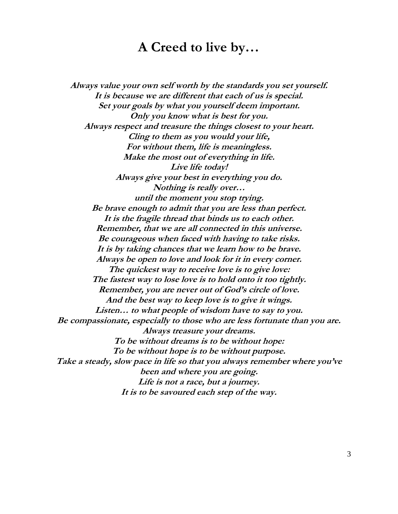### **A Creed to live by…**

**Always value your own self worth by the standards you set yourself. It is because we are different that each of us is special. Set your goals by what you yourself deem important. Only you know what is best for you. Always respect and treasure the things closest to your heart. Cling to them as you would your life, For without them, life is meaningless. Make the most out of everything in life. Live life today! Always give your best in everything you do. Nothing is really over… until the moment you stop trying. Be brave enough to admit that you are less than perfect. It is the fragile thread that binds us to each other. Remember, that we are all connected in this universe. Be courageous when faced with having to take risks. It is by taking chances that we learn how to be brave. Always be open to love and look for it in every corner. The quickest way to receive love is to give love: The fastest way to lose love is to hold onto it too tightly. Remember, you are never out of God's circle of love. And the best way to keep love is to give it wings. Listen… to what people of wisdom have to say to you. Be compassionate, especially to those who are less fortunate than you are. Always treasure your dreams. To be without dreams is to be without hope: To be without hope is to be without purpose. Take a steady, slow pace in life so that you always remember where you've been and where you are going. Life is not a race, but a journey. It is to be savoured each step of the way.**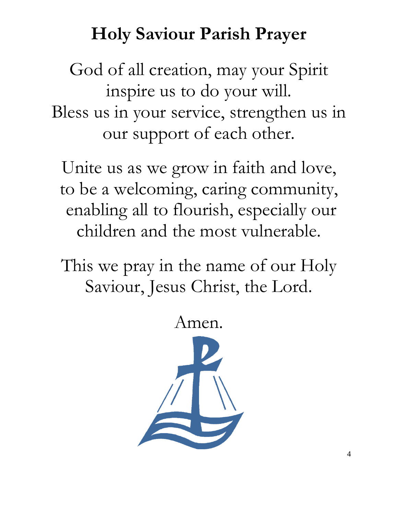## **Holy Saviour Parish Prayer**

<span id="page-3-0"></span>God of all creation, may your Spirit inspire us to do your will. Bless us in your service, strengthen us in our support of each other.

Unite us as we grow in faith and love, to be a welcoming, caring community, enabling all to flourish, especially our children and the most vulnerable.

This we pray in the name of our Holy Saviour, Jesus Christ, the Lord.

Amen.

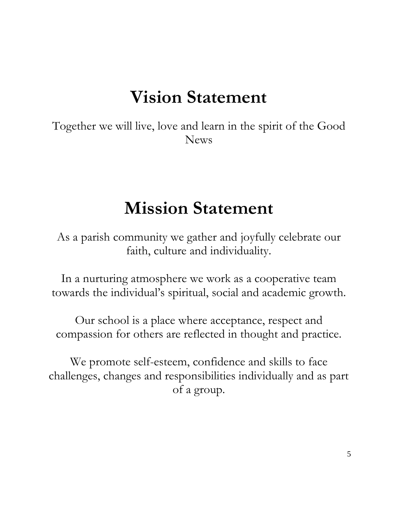## **Vision Statement**

<span id="page-4-0"></span>Together we will live, love and learn in the spirit of the Good News

## **Mission Statement**

As a parish community we gather and joyfully celebrate our faith, culture and individuality.

In a nurturing atmosphere we work as a cooperative team towards the individual's spiritual, social and academic growth.

Our school is a place where acceptance, respect and compassion for others are reflected in thought and practice.

We promote self-esteem, confidence and skills to face challenges, changes and responsibilities individually and as part of a group.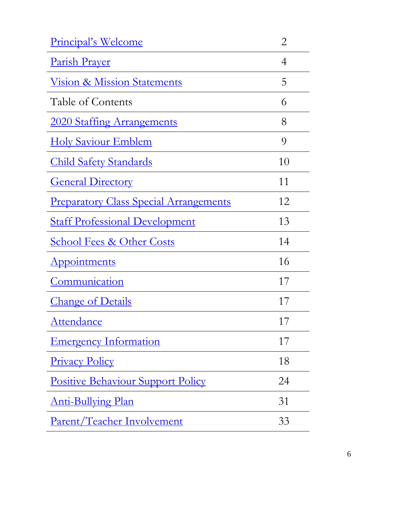| Principal's Welcome                           | $\overline{2}$ |
|-----------------------------------------------|----------------|
| <u>Parish Prayer</u>                          | 4              |
| <u>Vision &amp; Mission Statements</u>        | 5              |
| Table of Contents                             | 6              |
| 2020 Staffing Arrangements                    | 8              |
| <u>Holy Saviour Emblem</u>                    | 9              |
| <b>Child Safety Standards</b>                 | 10             |
| <b>General Directory</b>                      | 11             |
| <b>Preparatory Class Special Arrangements</b> | 12             |
| <b>Staff Professional Development</b>         | 13             |
|                                               |                |
| <b><u>School Fees &amp; Other Costs</u></b>   | 14             |
| Appointments                                  | 16             |
| Communication                                 | 17             |
| <b>Change of Details</b>                      | 17             |
| <u>Attendance</u>                             | 17             |
| <u>Emergency Information</u>                  | 17             |
| <b>Privacy Policy</b>                         | 18             |
| <b>Positive Behaviour Support Policy</b>      | 24             |
| <u>Anti-Bullying Plan</u>                     | 31             |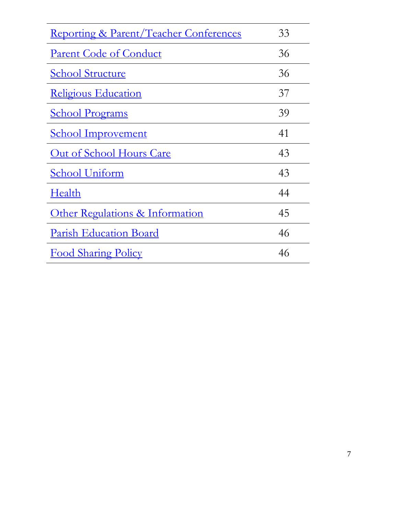| <u>Reporting &amp; Parent/Teacher Conferences</u> | 33 |
|---------------------------------------------------|----|
| <u>Parent Code of Conduct</u>                     | 36 |
| <b>School Structure</b>                           | 36 |
| <b>Religious Education</b>                        | 37 |
| <b>School Programs</b>                            | 39 |
| <b><u>School Improvement</u></b>                  | 41 |
| <u>Out of School Hours Care</u>                   | 43 |
| School Uniform                                    | 43 |
| Health                                            | 44 |
| <u>Other Regulations &amp; Information</u>        | 45 |
| <u>Parish Education Board</u>                     | 46 |
| <b>Food Sharing Policy</b>                        | 46 |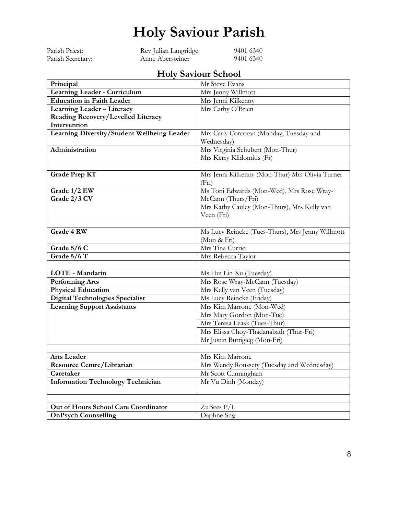## **Holy Saviour Parish**

<span id="page-7-0"></span>

| Parish Priest:    | Rev Julian Langridge | 9401 6340 |
|-------------------|----------------------|-----------|
| Parish Secretary: | Anne Abersteiner     | 9401 6340 |

### **Holy Saviour School**

| Principal                                                               | Mr Steve Evans                                                  |  |
|-------------------------------------------------------------------------|-----------------------------------------------------------------|--|
| Learning Leader - Curriculum                                            | Mrs Jenny Willmott                                              |  |
| <b>Education in Faith Leader</b>                                        | Mrs Jenni Kilkenny                                              |  |
| Learning Leader - Literacy                                              | Mrs Cathy O'Brien                                               |  |
| Reading Recovery/Levelled Literacy                                      |                                                                 |  |
| Intervention                                                            |                                                                 |  |
| Learning Diversity/Student Wellbeing Leader                             | Mrs Carly Corcoran (Monday, Tuesday and                         |  |
|                                                                         | Wednesday)                                                      |  |
| Administration                                                          | Mrs Virginia Schubert (Mon-Thur)                                |  |
|                                                                         | Mrs Kerry Klidomitis (Fr)                                       |  |
|                                                                         |                                                                 |  |
| Mrs Jenni Kilkenny (Mon-Thur) Mrs Olivia Turner<br><b>Grade Prep KT</b> |                                                                 |  |
|                                                                         | (Fri)                                                           |  |
| Grade 1/2 EW                                                            | Ms Toni Edwards (Mon-Wed), Mrs Rose Wray-                       |  |
| Grade 2/3 CV                                                            | McCann (Thurs/Fri)                                              |  |
|                                                                         | Mrs Kathy Cauley (Mon-Thurs), Mrs Kelly van                     |  |
|                                                                         | Veen (Fri)                                                      |  |
| Grade 4 RW                                                              |                                                                 |  |
|                                                                         | Ms Lucy Reincke (Tues-Thurs), Mrs Jenny Willmott<br>(Mon & Fri) |  |
| Grade 5/6 C                                                             | Mrs Tina Currie                                                 |  |
| Grade 5/6 T                                                             | Mrs Rebecca Taylor                                              |  |
|                                                                         |                                                                 |  |
| LOTE - Mandarin                                                         | Ms Hui Lin Xu (Tuesday)                                         |  |
| <b>Performing Arts</b>                                                  | Mrs Rose Wray-McCann (Tuesday)                                  |  |
| <b>Physical Education</b>                                               | Mrs Kelly van Veen (Tuesday)                                    |  |
| Digital Technologies Specialist                                         | Ms Lucy Reincke (Friday)                                        |  |
| <b>Learning Support Assistants</b>                                      | Mrs Kim Marrone (Mon-Wed)                                       |  |
|                                                                         | Mrs Mary Gordon (Mon-Tue)                                       |  |
|                                                                         | Mrs Teresa Leask (Tues-Thur)                                    |  |
|                                                                         | Mrs Elissa Choy-Thadanabath (Thur-Fri)                          |  |
|                                                                         | Mr Justin Buttigieg (Mon-Fri)                                   |  |
|                                                                         |                                                                 |  |
| <b>Arts Leader</b>                                                      | Mrs Kim Marrone                                                 |  |
| <b>Resource Centre/Librarian</b>                                        | Mrs Wendy Roussety (Tuesday and Wednesday)                      |  |
| Caretaker                                                               | Mr Scott Cunningham                                             |  |
| <b>Information Technology Technician</b>                                | Mr Vu Dinh (Monday)                                             |  |
|                                                                         |                                                                 |  |
|                                                                         |                                                                 |  |
| Out of Hours School Care Coordinator                                    | ZuBees $P/L$                                                    |  |
| <b>OnPsych Counselling</b>                                              | Daphne Sng                                                      |  |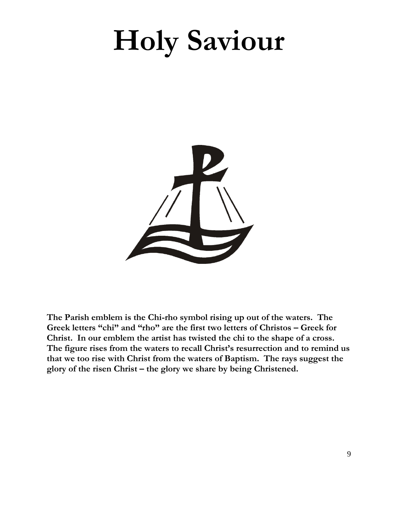# <span id="page-8-0"></span>**Holy Saviour**



**The Parish emblem is the Chi-rho symbol rising up out of the waters. The Greek letters "chi" and "rho" are the first two letters of Christos – Greek for Christ. In our emblem the artist has twisted the chi to the shape of a cross. The figure rises from the waters to recall Christ's resurrection and to remind us that we too rise with Christ from the waters of Baptism. The rays suggest the glory of the risen Christ – the glory we share by being Christened.**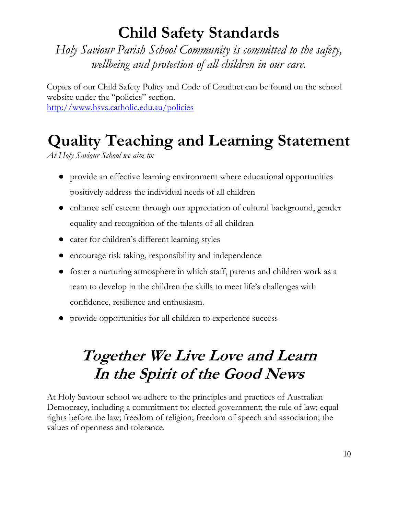## **Child Safety Standards**

<span id="page-9-0"></span>*Holy Saviour Parish School Community is committed to the safety, wellbeing and protection of all children in our care.*

Copies of our Child Safety Policy and Code of Conduct can be found on the school website under the "policies" section. <http://www.hsvs.catholic.edu.au/policies>

## **Quality Teaching and Learning Statement**

*At Holy Saviour School we aim to:*

- provide an effective learning environment where educational opportunities positively address the individual needs of all children
- enhance self esteem through our appreciation of cultural background, gender equality and recognition of the talents of all children
- cater for children's different learning styles
- encourage risk taking, responsibility and independence
- foster a nurturing atmosphere in which staff, parents and children work as a team to develop in the children the skills to meet life's challenges with confidence, resilience and enthusiasm.
- provide opportunities for all children to experience success

## **Together We Live Love and Learn In the Spirit of the Good News**

At Holy Saviour school we adhere to the principles and practices of Australian Democracy, including a commitment to: elected government; the rule of law; equal rights before the law; freedom of religion; freedom of speech and association; the values of openness and tolerance.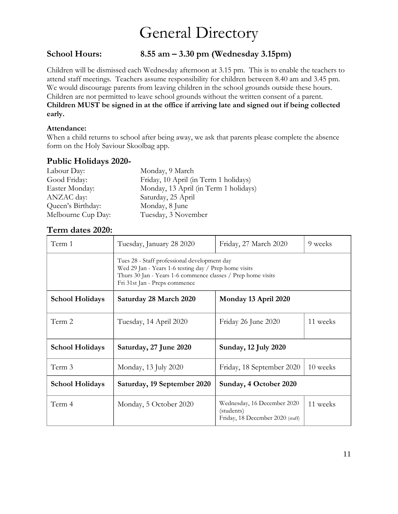## General Directory

#### <span id="page-10-0"></span>**School Hours: 8.55 am – 3.30 pm (Wednesday 3.15pm)**

Children will be dismissed each Wednesday afternoon at 3.15 pm. This is to enable the teachers to attend staff meetings. Teachers assume responsibility for children between 8.40 am and 3.45 pm. We would discourage parents from leaving children in the school grounds outside these hours. Children are not permitted to leave school grounds without the written consent of a parent. **Children MUST be signed in at the office if arriving late and signed out if being collected early.**

#### **Attendance:**

When a child returns to school after being away, we ask that parents please complete the absence form on the Holy Saviour Skoolbag app.

#### **Public Holidays 2020-**

| Labour Day:        | Monday, 9 March                       |
|--------------------|---------------------------------------|
| Good Friday:       | Friday, 10 April (in Term 1 holidays) |
| Easter Monday:     | Monday, 13 April (in Term 1 holidays) |
| ANZAC day:         | Saturday, 25 April                    |
| Queen's Birthday:  | Monday, 8 June                        |
| Melbourne Cup Day: | Tuesday, 3 November                   |

#### **Term dates 2020:**

| Term 1                 | Tuesday, January 28 2020                                                                                                                                                                               | Friday, 27 March 2020                                                         | 9 weeks  |
|------------------------|--------------------------------------------------------------------------------------------------------------------------------------------------------------------------------------------------------|-------------------------------------------------------------------------------|----------|
|                        | Tues 28 - Staff professional development day<br>Wed 29 Jan - Years 1-6 testing day / Prep home visits<br>Thurs 30 Jan - Years 1-6 commence classes / Prep home visits<br>Fri 31st Jan - Preps commence |                                                                               |          |
| <b>School Holidays</b> | Saturday 28 March 2020                                                                                                                                                                                 | Monday 13 April 2020                                                          |          |
| Term 2                 | Tuesday, 14 April 2020                                                                                                                                                                                 | Friday 26 June 2020                                                           | 11 weeks |
| <b>School Holidays</b> | Saturday, 27 June 2020                                                                                                                                                                                 | <b>Sunday, 12 July 2020</b>                                                   |          |
| Term 3                 | Monday, 13 July 2020                                                                                                                                                                                   | Friday, 18 September 2020                                                     | 10 weeks |
| <b>School Holidays</b> | Saturday, 19 September 2020                                                                                                                                                                            | Sunday, 4 October 2020                                                        |          |
| Term 4                 | Monday, 5 October 2020                                                                                                                                                                                 | Wednesday, 16 December 2020<br>(students)<br>Friday, 18 December 2020 (staff) | 11 weeks |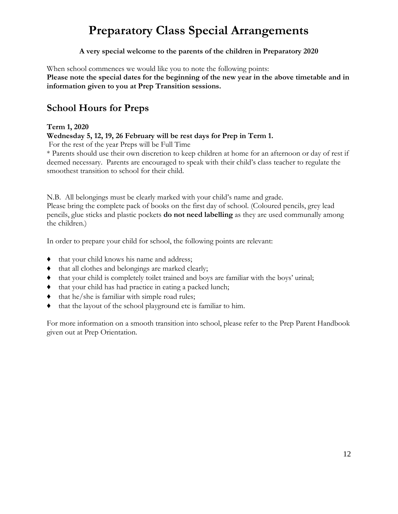### **Preparatory Class Special Arrangements**

#### **A very special welcome to the parents of the children in Preparatory 2020**

<span id="page-11-0"></span>When school commences we would like you to note the following points: **Please note the special dates for the beginning of the new year in the above timetable and in information given to you at Prep Transition sessions.**

#### **School Hours for Preps**

#### **Term 1, 2020**

**Wednesday 5, 12, 19, 26 February will be rest days for Prep in Term 1.**

For the rest of the year Preps will be Full Time

\* Parents should use their own discretion to keep children at home for an afternoon or day of rest if deemed necessary. Parents are encouraged to speak with their child's class teacher to regulate the smoothest transition to school for their child.

N.B. All belongings must be clearly marked with your child's name and grade. Please bring the complete pack of books on the first day of school. (Coloured pencils, grey lead pencils, glue sticks and plastic pockets **do not need labelling** as they are used communally among the children.)

In order to prepare your child for school, the following points are relevant:

- ♦ that your child knows his name and address;
- ♦ that all clothes and belongings are marked clearly;
- ♦ that your child is completely toilet trained and boys are familiar with the boys' urinal;
- ♦ that your child has had practice in eating a packed lunch;
- ♦ that he/she is familiar with simple road rules;
- ♦ that the layout of the school playground etc is familiar to him.

For more information on a smooth transition into school, please refer to the Prep Parent Handbook given out at Prep Orientation.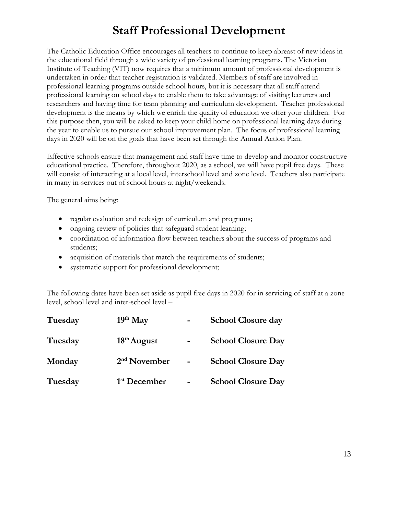### **Staff Professional Development**

<span id="page-12-0"></span>The Catholic Education Office encourages all teachers to continue to keep abreast of new ideas in the educational field through a wide variety of professional learning programs. The Victorian Institute of Teaching (VIT) now requires that a minimum amount of professional development is undertaken in order that teacher registration is validated. Members of staff are involved in professional learning programs outside school hours, but it is necessary that all staff attend professional learning on school days to enable them to take advantage of visiting lecturers and researchers and having time for team planning and curriculum development. Teacher professional development is the means by which we enrich the quality of education we offer your children. For this purpose then, you will be asked to keep your child home on professional learning days during the year to enable us to pursue our school improvement plan. The focus of professional learning days in 2020 will be on the goals that have been set through the Annual Action Plan.

Effective schools ensure that management and staff have time to develop and monitor constructive educational practice. Therefore, throughout 2020, as a school, we will have pupil free days. These will consist of interacting at a local level, interschool level and zone level. Teachers also participate in many in-services out of school hours at night/weekends.

The general aims being:

- regular evaluation and redesign of curriculum and programs;
- ongoing review of policies that safeguard student learning;
- coordination of information flow between teachers about the success of programs and students;
- acquisition of materials that match the requirements of students;
- systematic support for professional development;

The following dates have been set aside as pupil free days in 2020 for in servicing of staff at a zone level, school level and inter-school level –

| Tuesday | $19th$ May               | <b>School Closure day</b> |
|---------|--------------------------|---------------------------|
| Tuesday | $18th$ August            | <b>School Closure Day</b> |
| Monday  | $2nd$ November           | <b>School Closure Day</b> |
| Tuesday | 1 <sup>st</sup> December | <b>School Closure Day</b> |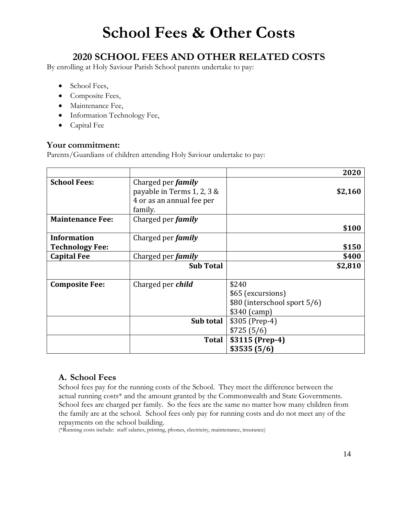## **School Fees & Other Costs**

#### <span id="page-13-0"></span>**2020 SCHOOL FEES AND OTHER RELATED COSTS**

By enrolling at Holy Saviour Parish School parents undertake to pay:

- School Fees,
- Composite Fees,
- Maintenance Fee,
- Information Technology Fee,
- Capital Fee

#### **Your commitment:**

Parents/Guardians of children attending Holy Saviour undertake to pay:

|                                              |                                                                                                 |                                                                             | 2020    |
|----------------------------------------------|-------------------------------------------------------------------------------------------------|-----------------------------------------------------------------------------|---------|
| <b>School Fees:</b>                          | Charged per <i>family</i><br>payable in Terms 1, 2, 3 &<br>4 or as an annual fee per<br>family. |                                                                             | \$2,160 |
| <b>Maintenance Fee:</b>                      | Charged per <i>family</i>                                                                       |                                                                             | \$100   |
| <b>Information</b><br><b>Technology Fee:</b> | Charged per <i>family</i>                                                                       |                                                                             | \$150   |
| <b>Capital Fee</b>                           | Charged per <i>family</i>                                                                       |                                                                             | \$400   |
|                                              | <b>Sub Total</b>                                                                                |                                                                             | \$2,810 |
| <b>Composite Fee:</b>                        | Charged per <i>child</i>                                                                        | \$240<br>\$65 (excursions)<br>\$80 (interschool sport 5/6)<br>$$340$ (camp) |         |
|                                              | Sub total                                                                                       | \$305 (Prep-4)<br>\$725(5/6)                                                |         |
|                                              | Total                                                                                           | \$3115 (Prep-4)<br>\$3535(5/6)                                              |         |

#### **A. School Fees**

School fees pay for the running costs of the School. They meet the difference between the actual running costs\* and the amount granted by the Commonwealth and State Governments. School fees are charged per family. So the fees are the same no matter how many children from the family are at the school. School fees only pay for running costs and do not meet any of the repayments on the school building.

(\*Running costs include: staff salaries, printing, phones, electricity, maintenance, insurance)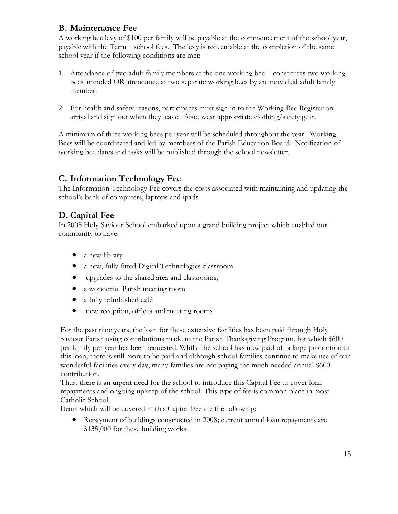#### **B. Maintenance Fee**

A working bee levy of \$100 per family will be payable at the commencement of the school year, payable with the Term 1 school fees. The levy is redeemable at the completion of the same school year if the following conditions are met:

- 1. Attendance of two adult family members at the one working bee constitutes two working bees attended OR attendance at two separate working bees by an individual adult family member.
- 2. For health and safety reasons, participants must sign in to the Working Bee Register on arrival and sign out when they leave. Also, wear appropriate clothing/safety gear.

A minimum of three working bees per year will be scheduled throughout the year. Working Bees will be coordinated and led by members of the Parish Education Board. Notification of working bee dates and tasks will be published through the school newsletter.

#### **C. Information Technology Fee**

The Information Technology Fee covers the costs associated with maintaining and updating the school's bank of computers, laptops and ipads.

#### **D. Capital Fee**

In 2008 Holy Saviour School embarked upon a grand building project which enabled our community to have:

- a new library
- a new, fully fitted Digital Technologies classroom
- upgrades to the shared area and classrooms,
- a wonderful Parish meeting room
- a fully refurbished café
- new reception, offices and meeting rooms

For the past nine years, the loan for these extensive facilities has been paid through Holy Saviour Parish using contributions made to the Parish Thanksgiving Program, for which \$600 per family per year has been requested. Whilst the school has now paid off a large proportion of this loan, there is still more to be paid and although school families continue to make use of our wonderful facilities every day, many families are not paying the much needed annual \$600 contribution.

Thus, there is an urgent need for the school to introduce this Capital Fee to cover loan repayments and ongoing upkeep of the school. This type of fee is common place in most Catholic School.

Items which will be covered in this Capital Fee are the following:

• Repayment of buildings constructed in 2008; current annual loan repayments are \$135,000 for these building works.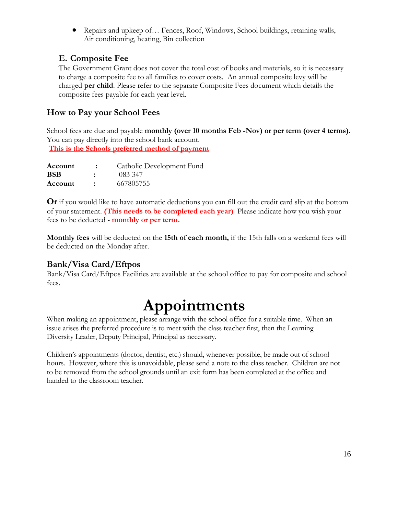• Repairs and upkeep of... Fences, Roof, Windows, School buildings, retaining walls, Air conditioning, heating, Bin collection

#### **E. Composite Fee**

The Government Grant does not cover the total cost of books and materials, so it is necessary to charge a composite fee to all families to cover costs. An annual composite levy will be charged **per child**. Please refer to the separate Composite Fees document which details the composite fees payable for each year level.

#### **How to Pay your School Fees**

School fees are due and payable **monthly (over 10 months Feb -Nov) or per term (over 4 terms).**  You can pay directly into the school bank account. **This is the Schools preferred method of payment**

| Account    |                      | Catholic Development Fund |
|------------|----------------------|---------------------------|
| <b>BSB</b> | $\ddot{\phantom{a}}$ | 083 347                   |
| Account    |                      | 667805755                 |

**Or** if you would like to have automatic deductions you can fill out the credit card slip at the bottom of your statement. **(This needs to be completed each year)** Please indicate how you wish your fees to be deducted - **monthly or per term.** 

**Monthly fees** will be deducted on the **15th of each month,** if the 15th falls on a weekend fees will be deducted on the Monday after.

#### **Bank/Visa Card/Eftpos**

Bank/Visa Card/Eftpos Facilities are available at the school office to pay for composite and school fees.

## **Appointments**

<span id="page-15-0"></span>When making an appointment, please arrange with the school office for a suitable time. When an issue arises the preferred procedure is to meet with the class teacher first, then the Learning Diversity Leader, Deputy Principal, Principal as necessary.

Children's appointments (doctor, dentist, etc.) should, whenever possible, be made out of school hours. However, where this is unavoidable, please send a note to the class teacher. Children are not to be removed from the school grounds until an exit form has been completed at the office and handed to the classroom teacher.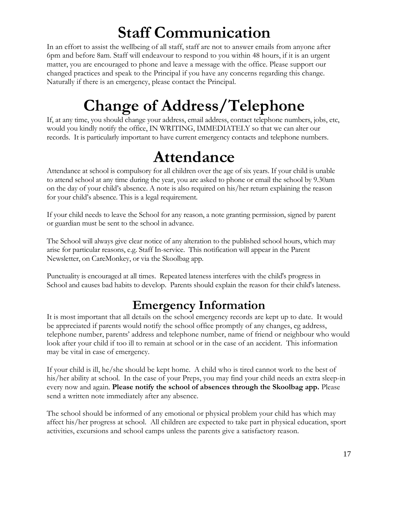## <span id="page-16-0"></span>**Staff Communication**

In an effort to assist the wellbeing of all staff, staff are not to answer emails from anyone after 6pm and before 8am. Staff will endeavour to respond to you within 48 hours, if it is an urgent matter, you are encouraged to phone and leave a message with the office. Please support our changed practices and speak to the Principal if you have any concerns regarding this change. Naturally if there is an emergency, please contact the Principal.

## **Change of Address/Telephone**

<span id="page-16-1"></span>If, at any time, you should change your address, email address, contact telephone numbers, jobs, etc, would you kindly notify the office, IN WRITING, IMMEDIATELY so that we can alter our records. It is particularly important to have current emergency contacts and telephone numbers.

## **Attendance**

<span id="page-16-2"></span>Attendance at school is compulsory for all children over the age of six years. If your child is unable to attend school at any time during the year, you are asked to phone or email the school by 9.30am on the day of your child's absence. A note is also required on his/her return explaining the reason for your child's absence. This is a legal requirement.

If your child needs to leave the School for any reason, a note granting permission, signed by parent or guardian must be sent to the school in advance.

The School will always give clear notice of any alteration to the published school hours, which may arise for particular reasons, e.g. Staff In-service. This notification will appear in the Parent Newsletter, on CareMonkey, or via the Skoolbag app.

Punctuality is encouraged at all times. Repeated lateness interferes with the child's progress in School and causes bad habits to develop. Parents should explain the reason for their child's lateness.

### **Emergency Information**

<span id="page-16-3"></span>It is most important that all details on the school emergency records are kept up to date. It would be appreciated if parents would notify the school office promptly of any changes, eg address, telephone number, parents' address and telephone number, name of friend or neighbour who would look after your child if too ill to remain at school or in the case of an accident. This information may be vital in case of emergency.

If your child is ill, he/she should be kept home. A child who is tired cannot work to the best of his/her ability at school. In the case of your Preps, you may find your child needs an extra sleep-in every now and again. **Please notify the school of absences through the Skoolbag app.** Please send a written note immediately after any absence.

The school should be informed of any emotional or physical problem your child has which may affect his/her progress at school. All children are expected to take part in physical education, sport activities, excursions and school camps unless the parents give a satisfactory reason.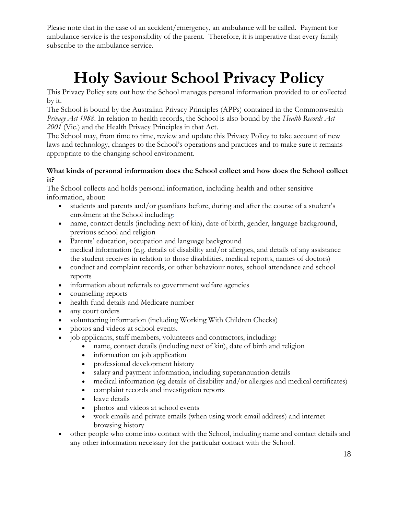<span id="page-17-0"></span>Please note that in the case of an accident/emergency, an ambulance will be called. Payment for ambulance service is the responsibility of the parent. Therefore, it is imperative that every family subscribe to the ambulance service.

## **Holy Saviour School Privacy Policy**

This Privacy Policy sets out how the School manages personal information provided to or collected by it.

The School is bound by the Australian Privacy Principles (APPs) contained in the Commonwealth *Privacy Act 1988*. In relation to health records, the School is also bound by the *Health Records Act 2001* (Vic.) and the Health Privacy Principles in that Act.

The School may, from time to time, review and update this Privacy Policy to take account of new laws and technology, changes to the School's operations and practices and to make sure it remains appropriate to the changing school environment.

#### **What kinds of personal information does the School collect and how does the School collect it?**

The School collects and holds personal information, including health and other sensitive information, about:

- students and parents and/or guardians before, during and after the course of a student's enrolment at the School including:
- name, contact details (including next of kin), date of birth, gender, language background, previous school and religion
- Parents' education, occupation and language background
- medical information (e.g. details of disability and/or allergies, and details of any assistance the student receives in relation to those disabilities, medical reports, names of doctors)
- conduct and complaint records, or other behaviour notes, school attendance and school reports
- information about referrals to government welfare agencies
- counselling reports
- health fund details and Medicare number
- any court orders
- volunteering information (including Working With Children Checks)
- photos and videos at school events.
- job applicants, staff members, volunteers and contractors, including:
	- name, contact details (including next of kin), date of birth and religion
	- information on job application
	- professional development history
	- salary and payment information, including superannuation details
	- medical information (eg details of disability and/or allergies and medical certificates)
	- complaint records and investigation reports
	- leave details
	- photos and videos at school events
	- work emails and private emails (when using work email address) and internet browsing history
- other people who come into contact with the School, including name and contact details and any other information necessary for the particular contact with the School.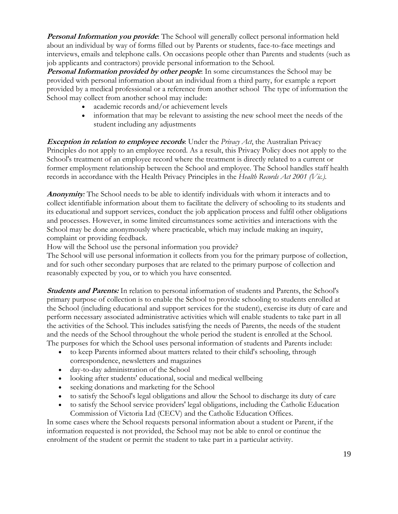**Personal Information you provide**: The School will generally collect personal information held about an individual by way of forms filled out by Parents or students, face-to-face meetings and interviews, emails and telephone calls. On occasions people other than Parents and students (such as job applicants and contractors) provide personal information to the School.

**Personal Information provided by other people**: In some circumstances the School may be provided with personal information about an individual from a third party, for example a report provided by a medical professional or a reference from another school The type of information the School may collect from another school may include:

- academic records and/or achievement levels
- information that may be relevant to assisting the new school meet the needs of the student including any adjustments

**Exception in relation to employee records**: Under the *Privacy Act*, the Australian Privacy Principles do not apply to an employee record. As a result, this Privacy Policy does not apply to the School's treatment of an employee record where the treatment is directly related to a current or former employment relationship between the School and employee. The School handles staff health records in accordance with the Health Privacy Principles in the *Health Records Act 2001 (Vic.).*

**Anonymity***:* The School needs to be able to identify individuals with whom it interacts and to collect identifiable information about them to facilitate the delivery of schooling to its students and its educational and support services, conduct the job application process and fulfil other obligations and processes. However, in some limited circumstances some activities and interactions with the School may be done anonymously where practicable, which may include making an inquiry, complaint or providing feedback.

How will the School use the personal information you provide?

The School will use personal information it collects from you for the primary purpose of collection, and for such other secondary purposes that are related to the primary purpose of collection and reasonably expected by you, or to which you have consented.

**Students and Parents:** In relation to personal information of students and Parents, the School's primary purpose of collection is to enable the School to provide schooling to students enrolled at the School (including educational and support services for the student), exercise its duty of care and perform necessary associated administrative activities which will enable students to take part in all the activities of the School. This includes satisfying the needs of Parents, the needs of the student and the needs of the School throughout the whole period the student is enrolled at the School. The purposes for which the School uses personal information of students and Parents include:

- to keep Parents informed about matters related to their child's schooling, through correspondence, newsletters and magazines
- day-to-day administration of the School
- looking after students' educational, social and medical wellbeing
- seeking donations and marketing for the School
- to satisfy the School's legal obligations and allow the School to discharge its duty of care
- to satisfy the School service providers' legal obligations, including the Catholic Education Commission of Victoria Ltd (CECV) and the Catholic Education Offices.

In some cases where the School requests personal information about a student or Parent, if the information requested is not provided, the School may not be able to enrol or continue the enrolment of the student or permit the student to take part in a particular activity.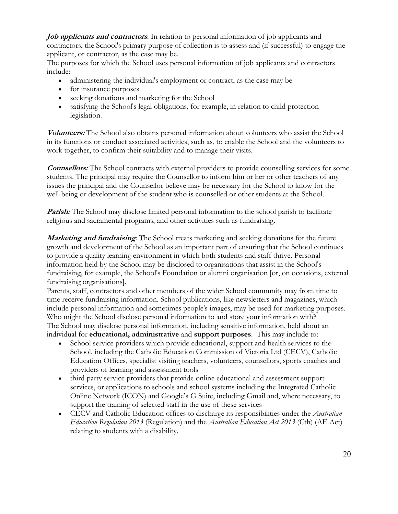**Job applicants and contractors**: In relation to personal information of job applicants and contractors, the School's primary purpose of collection is to assess and (if successful) to engage the applicant, or contractor, as the case may be.

The purposes for which the School uses personal information of job applicants and contractors include:

- administering the individual's employment or contract, as the case may be
- for insurance purposes
- seeking donations and marketing for the School
- satisfying the School's legal obligations, for example, in relation to child protection legislation.

**Volunteers:** The School also obtains personal information about volunteers who assist the School in its functions or conduct associated activities, such as, to enable the School and the volunteers to work together, to confirm their suitability and to manage their visits.

**Counsellors:** The School contracts with external providers to provide counselling services for some students. The principal may require the Counsellor to inform him or her or other teachers of any issues the principal and the Counsellor believe may be necessary for the School to know for the well-being or development of the student who is counselled or other students at the School.

**Parish:** The School may disclose limited personal information to the school parish to facilitate religious and sacramental programs, and other activities such as fundraising.

**Marketing and fundraising:** The School treats marketing and seeking donations for the future growth and development of the School as an important part of ensuring that the School continues to provide a quality learning environment in which both students and staff thrive. Personal information held by the School may be disclosed to organisations that assist in the School's fundraising, for example, the School's Foundation or alumni organisation [or, on occasions, external fundraising organisations].

Parents, staff, contractors and other members of the wider School community may from time to time receive fundraising information. School publications, like newsletters and magazines, which include personal information and sometimes people's images, may be used for marketing purposes. Who might the School disclose personal information to and store your information with? The School may disclose personal information, including sensitive information, held about an individual for **educational, administrative** and **support purposes**. This may include to:

- School service providers which provide educational, support and health services to the School, including the Catholic Education Commission of Victoria Ltd (CECV), Catholic Education Offices, specialist visiting teachers, volunteers, counsellors, sports coaches and providers of learning and assessment tools
- third party service providers that provide online educational and assessment support services, or applications to schools and school systems including the Integrated Catholic Online Network (ICON) and Google's G Suite, including Gmail and, where necessary, to support the training of selected staff in the use of these services
- CECV and Catholic Education offices to discharge its responsibilities under the *Australian Education Regulation 2013* (Regulation) and the *Australian Education Act 2013* (Cth) (AE Act) relating to students with a disability.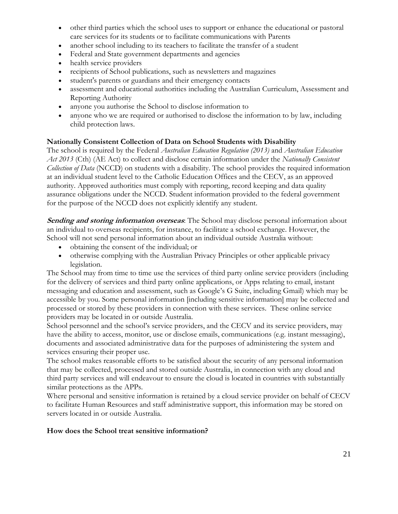- other third parties which the school uses to support or enhance the educational or pastoral care services for its students or to facilitate communications with Parents
- another school including to its teachers to facilitate the transfer of a student
- Federal and State government departments and agencies
- health service providers
- recipients of School publications, such as newsletters and magazines
- student's parents or guardians and their emergency contacts
- assessment and educational authorities including the Australian Curriculum, Assessment and Reporting Authority
- anyone you authorise the School to disclose information to
- anyone who we are required or authorised to disclose the information to by law, including child protection laws.

#### **Nationally Consistent Collection of Data on School Students with Disability**

The school is required by the Federal *Australian Education Regulation (2013)* and *Australian Education Act 2013* (Cth) (AE Act) to collect and disclose certain information under the *Nationally Consistent Collection of Data* (NCCD) on students with a disability. The school provides the required information at an individual student level to the Catholic Education Offices and the CECV, as an approved authority. Approved authorities must comply with reporting, record keeping and data quality assurance obligations under the NCCD. Student information provided to the federal government for the purpose of the NCCD does not explicitly identify any student.

**Sending and storing information overseas**: The School may disclose personal information about an individual to overseas recipients, for instance, to facilitate a school exchange. However, the School will not send personal information about an individual outside Australia without:

- obtaining the consent of the individual; or
- otherwise complying with the Australian Privacy Principles or other applicable privacy legislation.

The School may from time to time use the services of third party online service providers (including for the delivery of services and third party online applications, or Apps relating to email, instant messaging and education and assessment, such as Google's G Suite, including Gmail) which may be accessible by you. Some personal information [including sensitive information] may be collected and processed or stored by these providers in connection with these services. These online service providers may be located in or outside Australia.

School personnel and the school's service providers, and the CECV and its service providers, may have the ability to access, monitor, use or disclose emails, communications (e.g. instant messaging), documents and associated administrative data for the purposes of administering the system and services ensuring their proper use.

The school makes reasonable efforts to be satisfied about the security of any personal information that may be collected, processed and stored outside Australia, in connection with any cloud and third party services and will endeavour to ensure the cloud is located in countries with substantially similar protections as the APPs.

Where personal and sensitive information is retained by a cloud service provider on behalf of CECV to facilitate Human Resources and staff administrative support, this information may be stored on servers located in or outside Australia.

#### **How does the School treat sensitive information?**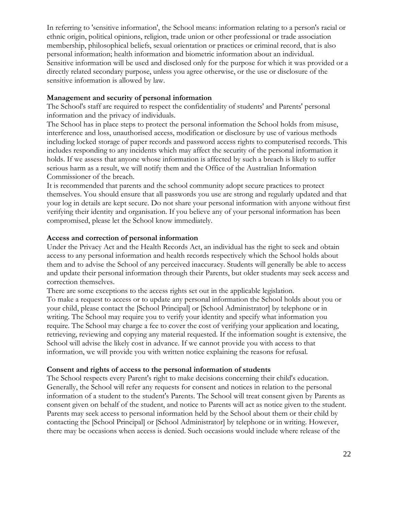In referring to 'sensitive information', the School means: information relating to a person's racial or ethnic origin, political opinions, religion, trade union or other professional or trade association membership, philosophical beliefs, sexual orientation or practices or criminal record, that is also personal information; health information and biometric information about an individual. Sensitive information will be used and disclosed only for the purpose for which it was provided or a directly related secondary purpose, unless you agree otherwise, or the use or disclosure of the sensitive information is allowed by law.

#### **Management and security of personal information**

The School's staff are required to respect the confidentiality of students' and Parents' personal information and the privacy of individuals.

The School has in place steps to protect the personal information the School holds from misuse, interference and loss, unauthorised access, modification or disclosure by use of various methods including locked storage of paper records and password access rights to computerised records. This includes responding to any incidents which may affect the security of the personal information it holds. If we assess that anyone whose information is affected by such a breach is likely to suffer serious harm as a result, we will notify them and the Office of the Australian Information Commissioner of the breach.

It is recommended that parents and the school community adopt secure practices to protect themselves. You should ensure that all passwords you use are strong and regularly updated and that your log in details are kept secure. Do not share your personal information with anyone without first verifying their identity and organisation. If you believe any of your personal information has been compromised, please let the School know immediately.

#### **Access and correction of personal information**

Under the Privacy Act and the Health Records Act, an individual has the right to seek and obtain access to any personal information and health records respectively which the School holds about them and to advise the School of any perceived inaccuracy. Students will generally be able to access and update their personal information through their Parents, but older students may seek access and correction themselves.

There are some exceptions to the access rights set out in the applicable legislation.

To make a request to access or to update any personal information the School holds about you or your child, please contact the [School Principal] or [School Administrator] by telephone or in writing. The School may require you to verify your identity and specify what information you require. The School may charge a fee to cover the cost of verifying your application and locating, retrieving, reviewing and copying any material requested. If the information sought is extensive, the School will advise the likely cost in advance. If we cannot provide you with access to that information, we will provide you with written notice explaining the reasons for refusal.

#### **Consent and rights of access to the personal information of students**

The School respects every Parent's right to make decisions concerning their child's education. Generally, the School will refer any requests for consent and notices in relation to the personal information of a student to the student's Parents. The School will treat consent given by Parents as consent given on behalf of the student, and notice to Parents will act as notice given to the student. Parents may seek access to personal information held by the School about them or their child by contacting the [School Principal] or [School Administrator] by telephone or in writing. However, there may be occasions when access is denied. Such occasions would include where release of the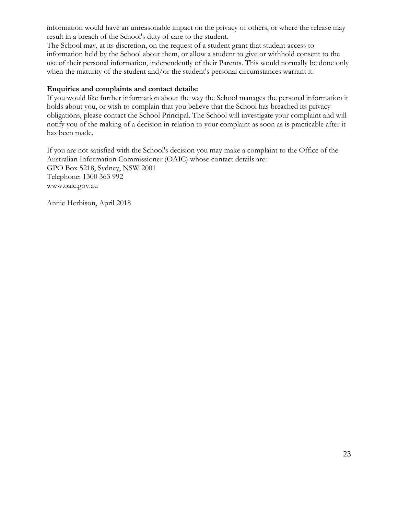information would have an unreasonable impact on the privacy of others, or where the release may result in a breach of the School's duty of care to the student.

The School may, at its discretion, on the request of a student grant that student access to information held by the School about them, or allow a student to give or withhold consent to the use of their personal information, independently of their Parents. This would normally be done only when the maturity of the student and/or the student's personal circumstances warrant it.

#### **Enquiries and complaints and contact details:**

If you would like further information about the way the School manages the personal information it holds about you, or wish to complain that you believe that the School has breached its privacy obligations, please contact the School Principal. The School will investigate your complaint and will notify you of the making of a decision in relation to your complaint as soon as is practicable after it has been made.

If you are not satisfied with the School's decision you may make a complaint to the Office of the Australian Information Commissioner (OAIC) whose contact details are: GPO Box 5218, Sydney, NSW 2001 Telephone: 1300 363 992 www.oaic.gov.au

Annie Herbison, April 2018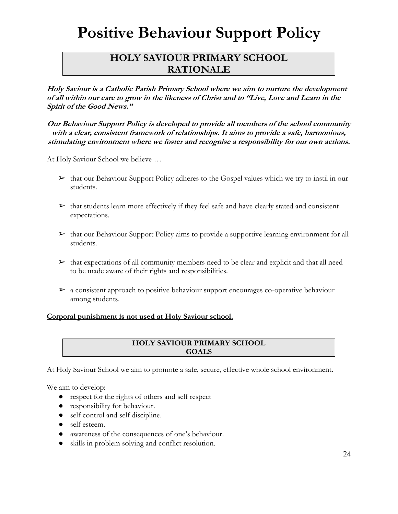## **Positive Behaviour Support Policy**

#### <span id="page-23-0"></span>**HOLY SAVIOUR PRIMARY SCHOOL RATIONALE**

**Holy Saviour is a Catholic Parish Primary School where we aim to nurture the development of all within our care to grow in the likeness of Christ and to "Live, Love and Learn in the Spirit of the Good News."**

**Our Behaviour Support Policy is developed to provide all members of the school community with a clear, consistent framework of relationships. It aims to provide a safe, harmonious, stimulating environment where we foster and recognise a responsibility for our own actions.**

At Holy Saviour School we believe …

- $\triangleright$  that our Behaviour Support Policy adheres to the Gospel values which we try to instil in our students.
- $\triangleright$  that students learn more effectively if they feel safe and have clearly stated and consistent expectations.
- $\triangleright$  that our Behaviour Support Policy aims to provide a supportive learning environment for all students.
- $\triangleright$  that expectations of all community members need to be clear and explicit and that all need to be made aware of their rights and responsibilities.
- $\triangleright$  a consistent approach to positive behaviour support encourages co-operative behaviour among students.

#### **Corporal punishment is not used at Holy Saviour school.**

#### **HOLY SAVIOUR PRIMARY SCHOOL GOALS**

At Holy Saviour School we aim to promote a safe, secure, effective whole school environment.

We aim to develop:

- respect for the rights of others and self respect
- responsibility for behaviour.
- self control and self discipline.
- self esteem.
- awareness of the consequences of one's behaviour.
- skills in problem solving and conflict resolution.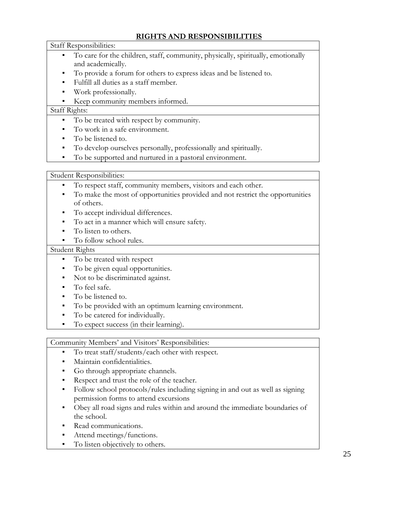#### **RIGHTS AND RESPONSIBILITIES**

Staff Responsibilities:

- To care for the children, staff, community, physically, spiritually, emotionally and academically.
- To provide a forum for others to express ideas and be listened to.
- Fulfill all duties as a staff member.
- Work professionally.
- Keep community members informed.

#### Staff Rights:

- To be treated with respect by community.
- To work in a safe environment.
- To be listened to.
- To develop ourselves personally, professionally and spiritually.
- To be supported and nurtured in a pastoral environment.

#### Student Responsibilities:

- To respect staff, community members, visitors and each other.
- To make the most of opportunities provided and not restrict the opportunities of others.
- To accept individual differences.
- To act in a manner which will ensure safety.
- To listen to others.
- To follow school rules.

#### Student Rights

- To be treated with respect
- To be given equal opportunities.
- Not to be discriminated against.
- To feel safe.
- To be listened to.
- To be provided with an optimum learning environment.
- To be catered for individually.
- To expect success (in their learning).

#### Community Members' and Visitors' Responsibilities:

- To treat staff/students/each other with respect.
- Maintain confidentialities.
- Go through appropriate channels.
- Respect and trust the role of the teacher.
- Follow school protocols/rules including signing in and out as well as signing permission forms to attend excursions
- Obey all road signs and rules within and around the immediate boundaries of the school.
- Read communications.
- Attend meetings/functions.
- To listen objectively to others.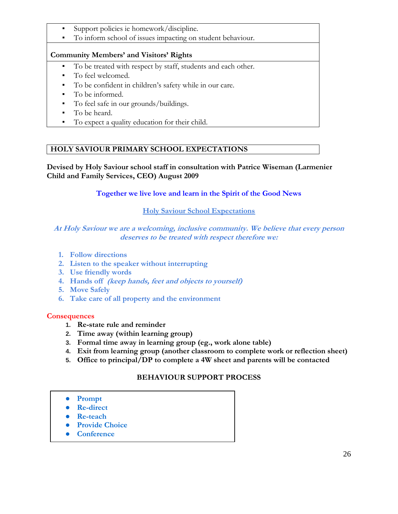- Support policies ie homework/discipline.
- To inform school of issues impacting on student behaviour.

#### **Community Members' and Visitors' Rights**

- To be treated with respect by staff, students and each other.
- To feel welcomed.
- To be confident in children's safety while in our care.
- To be informed.
- To feel safe in our grounds/buildings.
- To be heard.
- To expect a quality education for their child.

#### **HOLY SAVIOUR PRIMARY SCHOOL EXPECTATIONS**

**Devised by Holy Saviour school staff in consultation with Patrice Wiseman (Larmenier Child and Family Services, CEO) August 2009**

#### **Together we live love and learn in the Spirit of the Good News**

#### **Holy Saviour School Expectations**

#### **At Holy Saviour we are a welcoming, inclusive community. We believe that every person deserves to be treated with respect therefore we:**

- **1. Follow directions**
- **2. Listen to the speaker without interrupting**
- **3. Use friendly words**
- **4. Hands off (keep hands, feet and objects to yourself)**
- **5. Move Safely**
- **6. Take care of all property and the environment**

#### **Consequences**

- **1. Re-state rule and reminder**
- **2. Time away (within learning group)**
- **3. Formal time away in learning group (eg., work alone table)**
- **4. Exit from learning group (another classroom to complete work or reflection sheet)**
- **5. Office to principal/DP to complete a 4W sheet and parents will be contacted**

#### **BEHAVIOUR SUPPORT PROCESS**

- **Prompt**
- **Re-direct**
- **Re-teach**
- **Provide Choice**
- **Conference**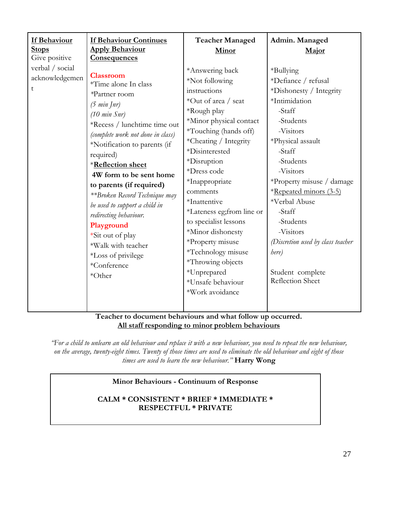| If Behaviour<br><u>Stops</u><br>Give positive<br>verbal / social<br>acknowledgemen | <b>If Behaviour Continues</b><br><b>Apply Behaviour</b><br><b>Consequences</b><br><b>Classroom</b><br>*Time alone In class<br>*Partner room<br>(5 min [nr])<br>$(10 \text{ min Snr})$<br>*Recess / lunchtime time out<br>(complete work not done in class)<br>*Notification to parents (if<br>required)<br>*Reflection sheet<br>4W form to be sent home<br>to parents (if required)<br>**Broken Record Technique may<br>be used to support a child in<br>redirecting behaviour.<br>Playground<br>*Sit out of play<br>*Walk with teacher<br>*Loss of privilege<br>*Conference<br>*Other | <b>Teacher Managed</b><br>Minor<br>*Answering back<br>*Not following<br>instructions<br>*Out of area / seat<br>*Rough play<br>*Minor physical contact<br>*Touching (hands off)<br>*Cheating / Integrity<br>*Disinterested<br>*Disruption<br>*Dress code<br>*Inappropriate<br>comments<br>*Inattentive<br>*Lateness eg; from line or<br>to specialist lessons<br>*Minor dishonesty<br>*Property misuse<br>*Technology misuse<br>*Throwing objects<br>*Unprepared<br>*Unsafe behaviour<br>*Work avoidance | Admin. Managed<br>Major<br>*Bullying<br>*Defiance / refusal<br>*Dishonesty / Integrity<br>*Intimidation<br>-Staff<br>-Students<br>-Visitors<br>*Physical assault<br>-Staff<br>-Students<br>-Visitors<br>*Property misuse / damage<br>*Repeated minors (3-5)<br>*Verbal Abuse<br>-Staff<br>-Students<br>-Visitors<br>(Discretion used by class teacher<br>here)<br>Student complete<br>Reflection Sheet |
|------------------------------------------------------------------------------------|----------------------------------------------------------------------------------------------------------------------------------------------------------------------------------------------------------------------------------------------------------------------------------------------------------------------------------------------------------------------------------------------------------------------------------------------------------------------------------------------------------------------------------------------------------------------------------------|---------------------------------------------------------------------------------------------------------------------------------------------------------------------------------------------------------------------------------------------------------------------------------------------------------------------------------------------------------------------------------------------------------------------------------------------------------------------------------------------------------|--------------------------------------------------------------------------------------------------------------------------------------------------------------------------------------------------------------------------------------------------------------------------------------------------------------------------------------------------------------------------------------------------------|
|------------------------------------------------------------------------------------|----------------------------------------------------------------------------------------------------------------------------------------------------------------------------------------------------------------------------------------------------------------------------------------------------------------------------------------------------------------------------------------------------------------------------------------------------------------------------------------------------------------------------------------------------------------------------------------|---------------------------------------------------------------------------------------------------------------------------------------------------------------------------------------------------------------------------------------------------------------------------------------------------------------------------------------------------------------------------------------------------------------------------------------------------------------------------------------------------------|--------------------------------------------------------------------------------------------------------------------------------------------------------------------------------------------------------------------------------------------------------------------------------------------------------------------------------------------------------------------------------------------------------|

#### **Teacher to document behaviours and what follow up occurred. All staff responding to minor problem behaviours**

*"For a child to unlearn an old behaviour and replace it with a new behaviour, you need to repeat the new behaviour, on the average, twenty-eight times. Twenty of those times are used to eliminate the old behaviour and eight of those times are used to learn the new behaviour."* **Harry Wong**

#### **Minor Behaviours - Continuum of Response**

#### **CALM \* CONSISTENT \* BRIEF \* IMMEDIATE \* RESPECTFUL \* PRIVATE**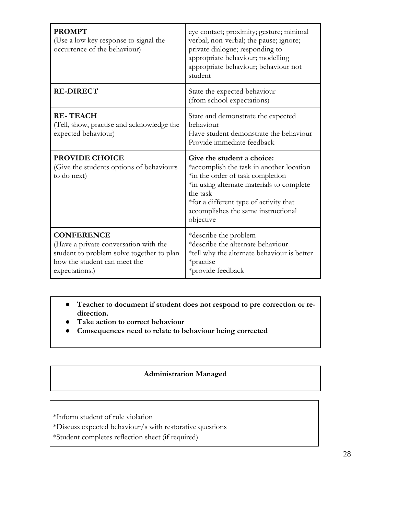| <b>PROMPT</b><br>(Use a low key response to signal the<br>occurrence of the behaviour) | eye contact; proximity; gesture; minimal<br>verbal; non-verbal; the pause; ignore;<br>private dialogue; responding to<br>appropriate behaviour; modelling<br>appropriate behaviour; behaviour not<br>student                                                      |
|----------------------------------------------------------------------------------------|-------------------------------------------------------------------------------------------------------------------------------------------------------------------------------------------------------------------------------------------------------------------|
| <b>RE-DIRECT</b>                                                                       | State the expected behaviour<br>(from school expectations)                                                                                                                                                                                                        |
| <b>RE-TEACH</b><br>(Tell, show, practise and acknowledge the<br>expected behaviour)    | State and demonstrate the expected<br>behaviour<br>Have student demonstrate the behaviour<br>Provide immediate feedback                                                                                                                                           |
|                                                                                        |                                                                                                                                                                                                                                                                   |
| <b>PROVIDE CHOICE</b><br>(Give the students options of behaviours<br>to do next)       | Give the student a choice:<br>*accomplish the task in another location<br>*in the order of task completion<br>*in using alternate materials to complete<br>the task<br>*for a different type of activity that<br>accomplishes the same instructional<br>objective |

● **Teacher to document if student does not respond to pre correction or redirection.**

- **Take action to correct behaviour**
- **Consequences need to relate to behaviour being corrected**

#### **Administration Managed**

\*Inform student of rule violation

- \*Discuss expected behaviour/s with restorative questions
- \*Student completes reflection sheet (if required)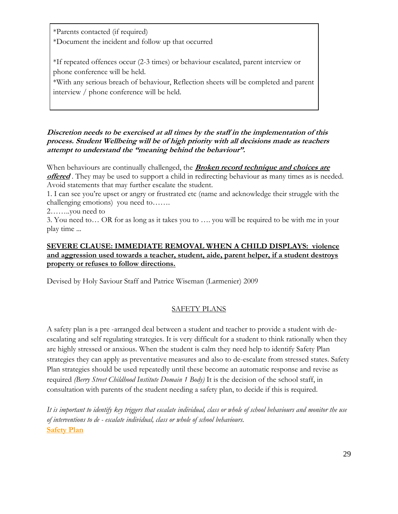\*Parents contacted (if required) \*Document the incident and follow up that occurred

\*If repeated offences occur (2-3 times) or behaviour escalated, parent interview or phone conference will be held.

\*With any serious breach of behaviour, Reflection sheets will be completed and parent interview / phone conference will be held.

#### **Discretion needs to be exercised at all times by the staff in the implementation of this process. Student Wellbeing will be of high priority with all decisions made as teachers attempt to understand the "meaning behind the behaviour".**

When behaviours are continually challenged, the **Broken record technique and choices are offered**. They may be used to support a child in redirecting behaviour as many times as is needed. Avoid statements that may further escalate the student.

1. I can see you're upset or angry or frustrated etc (name and acknowledge their struggle with the challenging emotions) you need to…….

2……..you need to

3. You need to… OR for as long as it takes you to …. you will be required to be with me in your play time ...

#### **SEVERE CLAUSE: IMMEDIATE REMOVAL WHEN A CHILD DISPLAYS: violence and aggression used towards a teacher, student, aide, parent helper, if a student destroys property or refuses to follow directions.**

Devised by Holy Saviour Staff and Patrice Wiseman (Larmenier) 2009

#### SAFETY PLANS

A safety plan is a pre -arranged deal between a student and teacher to provide a student with deescalating and self regulating strategies. It is very difficult for a student to think rationally when they are highly stressed or anxious. When the student is calm they need help to identify Safety Plan strategies they can apply as preventative measures and also to de-escalate from stressed states. Safety Plan strategies should be used repeatedly until these become an automatic response and revise as required *(Berry Street Childhood Institute Domain 1 Body)* It is the decision of the school staff, in consultation with parents of the student needing a safety plan, to decide if this is required.

*It is important to identify key triggers that escalate individual, class or whole of school behaviours and monitor the use of interventions to de - escalate individual, class or whole of school behaviours.* **[Safety Plan](https://docs.google.com/document/d/1jDZByApthswNxDVxsRuBnDtzjjfWlSEJGhWQAgsQE2g/edit)**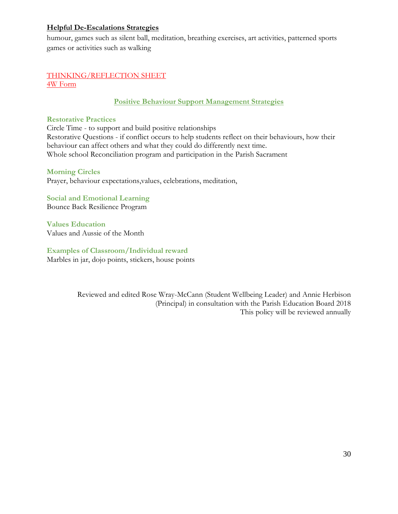#### **Helpful De-Escalations Strategies**

humour, games such as silent ball, meditation, breathing exercises, art activities, patterned sports games or activities such as walking

#### [THINKING/REFLECTION SHEET](https://docs.google.com/document/d/1mCZJUHiNWjtUW4PX_IibqmXrJv0qAVOSVXOhH94uOHI/edit) [4W Form](https://docs.google.com/document/d/1FCGqPt0GZd2AUHjnWVJ6eNmhHTv8BFjdBe6DAnXLqhA/edit)

#### **Positive Behaviour Support Management Strategies**

#### **Restorative Practices**

Circle Time - to support and build positive relationships Restorative Questions - if conflict occurs to help students reflect on their behaviours, how their behaviour can affect others and what they could do differently next time. Whole school Reconciliation program and participation in the Parish Sacrament

#### **Morning Circles**

Prayer, behaviour expectations,values, celebrations, meditation,

**Social and Emotional Learning** Bounce Back Resilience Program

**Values Education** Values and Aussie of the Month

#### **Examples of Classroom/Individual reward**

Marbles in jar, dojo points, stickers, house points

Reviewed and edited Rose Wray-McCann (Student Wellbeing Leader) and Annie Herbison (Principal) in consultation with the Parish Education Board 2018 This policy will be reviewed annually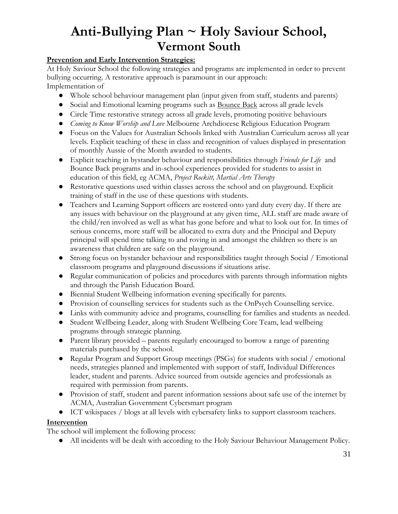### <span id="page-30-0"></span>**Anti-Bullying Plan ~ Holy Saviour School, Vermont South**

#### **Prevention and Early Intervention Strategies:**

At Holy Saviour School the following strategies and programs are implemented in order to prevent bullying occurring. A restorative approach is paramount in our approach: Implementation of

- Whole school behaviour management plan (input given from staff, students and parents)
- Social and Emotional learning programs such as Bounce Back across all grade levels
- Circle Time restorative strategy across all grade levels, promoting positive behaviours
- *Coming to Know Worship and Love* Melbourne Archdiocese Religious Education Program
- Focus on the Values for Australian Schools linked with Australian Curriculum across all year levels. Explicit teaching of these in class and recognition of values displayed in presentation of monthly Aussie of the Month awarded to students.
- Explicit teaching in bystander behaviour and responsibilities through *Friends for Life* and Bounce Back programs and in-school experiences provided for students to assist in education of this field, eg ACMA, *Project Rockitt, Martial Arts Therapy*
- Restorative questions used within classes across the school and on playground. Explicit training of staff in the use of these questions with students.
- Teachers and Learning Support officers are rostered onto yard duty every day. If there are any issues with behaviour on the playground at any given time, ALL staff are made aware of the child/ren involved as well as what has gone before and what to look out for. In times of serious concerns, more staff will be allocated to extra duty and the Principal and Deputy principal will spend time talking to and roving in and amongst the children so there is an awareness that children are safe on the playground.
- Strong focus on bystander behaviour and responsibilities taught through Social / Emotional classroom programs and playground discussions if situations arise.
- Regular communication of policies and procedures with parents through information nights and through the Parish Education Board.
- Biennial Student Wellbeing information evening specifically for parents.
- Provision of counselling services for students such as the OnPsych Counselling service.
- Links with community advice and programs, counselling for families and students as needed.
- Student Wellbeing Leader, along with Student Wellbeing Core Team, lead wellbeing programs through strategic planning.
- Parent library provided parents regularly encouraged to borrow a range of parenting materials purchased by the school.
- Regular Program and Support Group meetings (PSGs) for students with social / emotional needs, strategies planned and implemented with support of staff, Individual Differences leader, student and parents. Advice sourced from outside agencies and professionals as required with permission from parents.
- Provision of staff, student and parent information sessions about safe use of the internet by ACMA, Australian Government Cybersmart program
- ICT wikispaces / blogs at all levels with cybersafety links to support classroom teachers.

#### **Intervention**

The school will implement the following process:

● All incidents will be dealt with according to the Holy Saviour Behaviour Management Policy.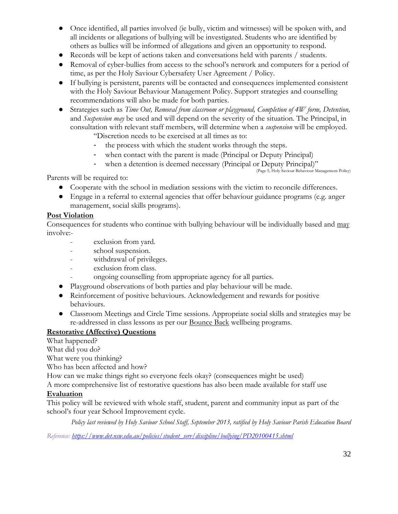- Once identified, all parties involved (ie bully, victim and witnesses) will be spoken with, and all incidents or allegations of bullying will be investigated. Students who are identified by others as bullies will be informed of allegations and given an opportunity to respond.
- Records will be kept of actions taken and conversations held with parents / students.
- Removal of cyber-bullies from access to the school's network and computers for a period of time, as per the Holy Saviour Cybersafety User Agreement / Policy.
- If bullying is persistent, parents will be contacted and consequences implemented consistent with the Holy Saviour Behaviour Management Policy. Support strategies and counselling recommendations will also be made for both parties.
- Strategies such as *Time Out, Removal from classroom or playground, Completion of 4W form, Detention,*  and *Suspension may* be used and will depend on the severity of the situation. The Principal, in consultation with relevant staff members, will determine when a *suspension* will be employed. "Discretion needs to be exercised at all times as to:

- the process with which the student works through the steps.

- when contact with the parent is made (Principal or Deputy Principal)
- when a detention is deemed necessary (Principal or Deputy Principal)"

(Page 5, Holy Saviour Behaviour Management Policy)

Parents will be required to:

- Cooperate with the school in mediation sessions with the victim to reconcile differences.
- Engage in a referral to external agencies that offer behaviour guidance programs (e.g. anger management, social skills programs).

#### **Post Violation**

Consequences for students who continue with bullying behaviour will be individually based and may involve:-

- exclusion from yard.
- school suspension.
- withdrawal of privileges.
- exclusion from class.
- ongoing counselling from appropriate agency for all parties.
- Playground observations of both parties and play behaviour will be made.
- Reinforcement of positive behaviours. Acknowledgement and rewards for positive behaviours.
- Classroom Meetings and Circle Time sessions. Appropriate social skills and strategies may be re-addressed in class lessons as per our Bounce Back wellbeing programs.

#### **Restorative (Affective) Questions**

What happened? What did you do?

What were you thinking?

Who has been affected and how?

How can we make things right so everyone feels okay? (consequences might be used)

A more comprehensive list of restorative questions has also been made available for staff use

#### **Evaluation**

This policy will be reviewed with whole staff, student, parent and community input as part of the school's four year School Improvement cycle.

*Policy last reviewed by Holy Saviour School Staff, September 2013, ratified by Holy Saviour Parish Education Board*

*Reference: [https://www.det.nsw.edu.au/policies/student\\_serv/discipline/bullying/PD20100415.shtml](https://www.det.nsw.edu.au/policies/student_serv/discipline/bullying/PD20100415.shtml)*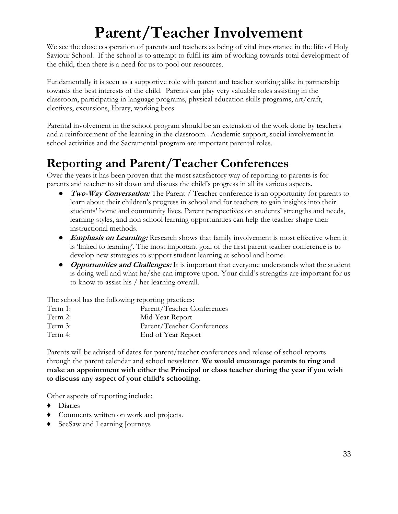## <span id="page-32-0"></span>**Parent/Teacher Involvement**

We see the close cooperation of parents and teachers as being of vital importance in the life of Holy Saviour School. If the school is to attempt to fulfil its aim of working towards total development of the child, then there is a need for us to pool our resources.

Fundamentally it is seen as a supportive role with parent and teacher working alike in partnership towards the best interests of the child. Parents can play very valuable roles assisting in the classroom, participating in language programs, physical education skills programs, art/craft, electives, excursions, library, working bees.

Parental involvement in the school program should be an extension of the work done by teachers and a reinforcement of the learning in the classroom. Academic support, social involvement in school activities and the Sacramental program are important parental roles.

### <span id="page-32-1"></span>**Reporting and Parent/Teacher Conferences**

Over the years it has been proven that the most satisfactory way of reporting to parents is for parents and teacher to sit down and discuss the child's progress in all its various aspects.

- **Two-Way Conversation:** The Parent / Teacher conference is an opportunity for parents to learn about their children's progress in school and for teachers to gain insights into their students' home and community lives. Parent perspectives on students' strengths and needs, learning styles, and non school learning opportunities can help the teacher shape their instructional methods.
- **Emphasis on Learning:** Research shows that family involvement is most effective when it is 'linked to learning'. The most important goal of the first parent teacher conference is to develop new strategies to support student learning at school and home.
- **• Opportunities and Challenges:** It is important that everyone understands what the student is doing well and what he/she can improve upon. Your child's strengths are important for us to know to assist his / her learning overall.

The school has the following reporting practices:

| Term 1: | Parent/Teacher Conferences |
|---------|----------------------------|
| Term 2: | Mid-Year Report            |
| Term 3: | Parent/Teacher Conferences |
| Term 4: | End of Year Report         |

Parents will be advised of dates for parent/teacher conferences and release of school reports through the parent calendar and school newsletter. **We would encourage parents to ring and make an appointment with either the Principal or class teacher during the year if you wish to discuss any aspect of your child's schooling.**

Other aspects of reporting include:

- ♦ Diaries
- ♦ Comments written on work and projects.
- <span id="page-32-2"></span>♦ SeeSaw and Learning Journeys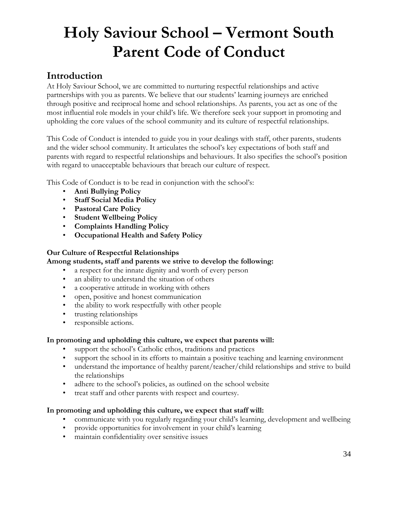## <span id="page-33-0"></span>**Holy Saviour School – Vermont South Parent Code of Conduct**

#### **Introduction**

At Holy Saviour School, we are committed to nurturing respectful relationships and active partnerships with you as parents. We believe that our students' learning journeys are enriched through positive and reciprocal home and school relationships. As parents, you act as one of the most influential role models in your child's life. We therefore seek your support in promoting and upholding the core values of the school community and its culture of respectful relationships.

This Code of Conduct is intended to guide you in your dealings with staff, other parents, students and the wider school community. It articulates the school's key expectations of both staff and parents with regard to respectful relationships and behaviours. It also specifies the school's position with regard to unacceptable behaviours that breach our culture of respect.

This Code of Conduct is to be read in conjunction with the school's:

- **Anti Bullying Policy**
- **Staff Social Media Policy**
- **Pastoral Care Policy**
- **Student Wellbeing Policy**
- **Complaints Handling Policy**
- **Occupational Health and Safety Policy**

#### **Our Culture of Respectful Relationships**

#### **Among students, staff and parents we strive to develop the following:**

- a respect for the innate dignity and worth of every person
- an ability to understand the situation of others
- a cooperative attitude in working with others
- open, positive and honest communication
- the ability to work respectfully with other people
- trusting relationships
- responsible actions.

#### **In promoting and upholding this culture, we expect that parents will:**

- support the school's Catholic ethos, traditions and practices
- support the school in its efforts to maintain a positive teaching and learning environment
- understand the importance of healthy parent/teacher/child relationships and strive to build the relationships
- adhere to the school's policies, as outlined on the school website
- treat staff and other parents with respect and courtesy.

#### **In promoting and upholding this culture, we expect that staff will:**

- communicate with you regularly regarding your child's learning, development and wellbeing
- provide opportunities for involvement in your child's learning
- maintain confidentiality over sensitive issues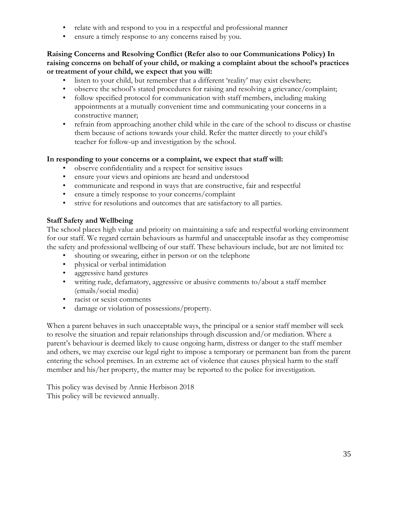- relate with and respond to you in a respectful and professional manner
- ensure a timely response to any concerns raised by you.

#### **Raising Concerns and Resolving Conflict (Refer also to our Communications Policy) In raising concerns on behalf of your child, or making a complaint about the school's practices or treatment of your child, we expect that you will:**

- listen to your child, but remember that a different 'reality' may exist elsewhere;
- observe the school's stated procedures for raising and resolving a grievance/complaint;
- follow specified protocol for communication with staff members, including making appointments at a mutually convenient time and communicating your concerns in a constructive manner;
- refrain from approaching another child while in the care of the school to discuss or chastise them because of actions towards your child. Refer the matter directly to your child's teacher for follow-up and investigation by the school.

#### **In responding to your concerns or a complaint, we expect that staff will:**

- observe confidentiality and a respect for sensitive issues
- ensure your views and opinions are heard and understood
- communicate and respond in ways that are constructive, fair and respectful
- ensure a timely response to your concerns/complaint
- strive for resolutions and outcomes that are satisfactory to all parties.

#### **Staff Safety and Wellbeing**

The school places high value and priority on maintaining a safe and respectful working environment for our staff. We regard certain behaviours as harmful and unacceptable insofar as they compromise the safety and professional wellbeing of our staff. These behaviours include, but are not limited to:

- shouting or swearing, either in person or on the telephone
- physical or verbal intimidation
- aggressive hand gestures
- writing rude, defamatory, aggressive or abusive comments to/about a staff member (emails/social media)
- racist or sexist comments
- damage or violation of possessions/property.

When a parent behaves in such unacceptable ways, the principal or a senior staff member will seek to resolve the situation and repair relationships through discussion and/or mediation. Where a parent's behaviour is deemed likely to cause ongoing harm, distress or danger to the staff member and others, we may exercise our legal right to impose a temporary or permanent ban from the parent entering the school premises. In an extreme act of violence that causes physical harm to the staff member and his/her property, the matter may be reported to the police for investigation.

This policy was devised by Annie Herbison 2018 This policy will be reviewed annually.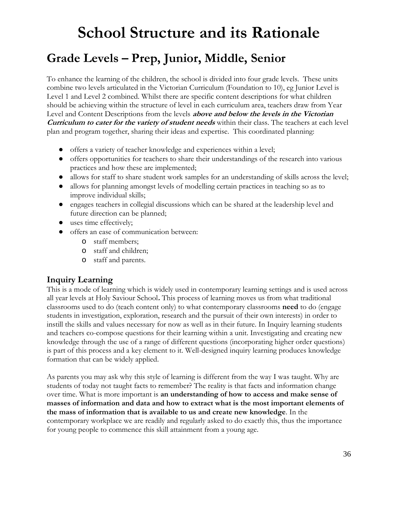## **School Structure and its Rationale**

### **Grade Levels – Prep, Junior, Middle, Senior**

To enhance the learning of the children, the school is divided into four grade levels. These units combine two levels articulated in the Victorian Curriculum (Foundation to 10), eg Junior Level is Level 1 and Level 2 combined. Whilst there are specific content descriptions for what children should be achieving within the structure of level in each curriculum area, teachers draw from Year Level and Content Descriptions from the levels **above and below the levels in the Victorian Curriculum to cater for the variety of student needs** within their class. The teachers at each level plan and program together, sharing their ideas and expertise. This coordinated planning:

- offers a variety of teacher knowledge and experiences within a level;
- offers opportunities for teachers to share their understandings of the research into various practices and how these are implemented;
- allows for staff to share student work samples for an understanding of skills across the level;
- allows for planning amongst levels of modelling certain practices in teaching so as to improve individual skills;
- engages teachers in collegial discussions which can be shared at the leadership level and future direction can be planned;
- uses time effectively;
- offers an ease of communication between:
	- o staff members;
	- o staff and children;
	- o staff and parents.

#### **Inquiry Learning**

This is a mode of learning which is widely used in contemporary learning settings and is used across all year levels at Holy Saviour School**.** This process of learning moves us from what traditional classrooms used to do (teach content only) to what contemporary classrooms **need** to do (engage students in investigation, exploration, research and the pursuit of their own interests) in order to instill the skills and values necessary for now as well as in their future. In Inquiry learning students and teachers co-compose questions for their learning within a unit. Investigating and creating new knowledge through the use of a range of different questions (incorporating higher order questions) is part of this process and a key element to it. Well-designed inquiry learning produces knowledge formation that can be widely applied.

As parents you may ask why this style of learning is different from the way I was taught. Why are students of today not taught facts to remember? The reality is that facts and information change over time. What is more important is **an understanding of how to access and make sense of masses of information and data and how to extract what is the most important elements of the mass of information that is available to us and create new knowledge**. In the contemporary workplace we are readily and regularly asked to do exactly this, thus the importance for young people to commence this skill attainment from a young age.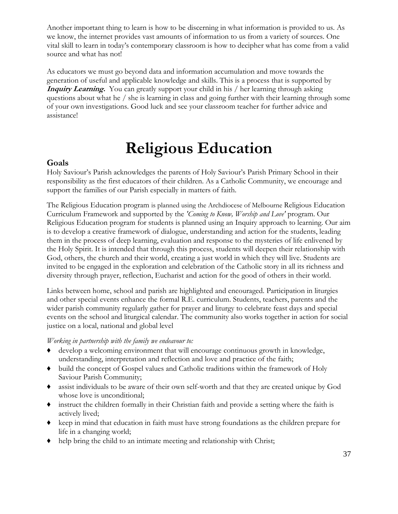Another important thing to learn is how to be discerning in what information is provided to us. As we know, the internet provides vast amounts of information to us from a variety of sources. One vital skill to learn in today's contemporary classroom is how to decipher what has come from a valid source and what has not!

As educators we must go beyond data and information accumulation and move towards the generation of useful and applicable knowledge and skills. This is a process that is supported by **Inquiry Learning.** You can greatly support your child in his / her learning through asking questions about what he / she is learning in class and going further with their learning through some of your own investigations. Good luck and see your classroom teacher for further advice and assistance!

## **Religious Education**

#### <span id="page-36-0"></span>**Goals**

Holy Saviour's Parish acknowledges the parents of Holy Saviour's Parish Primary School in their responsibility as the first educators of their children. As a Catholic Community, we encourage and support the families of our Parish especially in matters of faith.

The Religious Education program is planned using the Archdiocese of Melbourne Religious Education Curriculum Framework and supported by the *'Coming to Know, Worship and Love'* program. Our Religious Education program for students is planned using an Inquiry approach to learning. Our aim is to develop a creative framework of dialogue, understanding and action for the students, leading them in the process of deep learning, evaluation and response to the mysteries of life enlivened by the Holy Spirit. It is intended that through this process, students will deepen their relationship with God, others, the church and their world, creating a just world in which they will live. Students are invited to be engaged in the exploration and celebration of the Catholic story in all its richness and diversity through prayer, reflection, Eucharist and action for the good of others in their world.

Links between home, school and parish are highlighted and encouraged. Participation in liturgies and other special events enhance the formal R.E. curriculum. Students, teachers, parents and the wider parish community regularly gather for prayer and liturgy to celebrate feast days and special events on the school and liturgical calendar. The community also works together in action for social justice on a local, national and global level

#### *Working in partnership with the family we endeavour to:*

- ♦ develop a welcoming environment that will encourage continuous growth in knowledge, understanding, interpretation and reflection and love and practice of the faith;
- ♦ build the concept of Gospel values and Catholic traditions within the framework of Holy Saviour Parish Community;
- ♦ assist individuals to be aware of their own self-worth and that they are created unique by God whose love is unconditional;
- ♦ instruct the children formally in their Christian faith and provide a setting where the faith is actively lived;
- ♦ keep in mind that education in faith must have strong foundations as the children prepare for life in a changing world;
- ♦ help bring the child to an intimate meeting and relationship with Christ;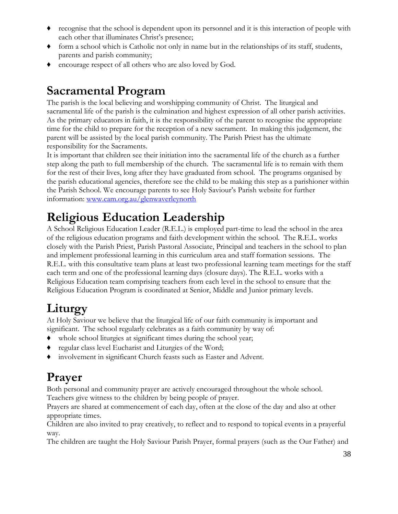- ♦ recognise that the school is dependent upon its personnel and it is this interaction of people with each other that illuminates Christ's presence;
- ♦ form a school which is Catholic not only in name but in the relationships of its staff, students, parents and parish community;
- ♦ encourage respect of all others who are also loved by God.

### **Sacramental Program**

The parish is the local believing and worshipping community of Christ. The liturgical and sacramental life of the parish is the culmination and highest expression of all other parish activities. As the primary educators in faith, it is the responsibility of the parent to recognise the appropriate time for the child to prepare for the reception of a new sacrament. In making this judgement, the parent will be assisted by the local parish community. The Parish Priest has the ultimate responsibility for the Sacraments.

It is important that children see their initiation into the sacramental life of the church as a further step along the path to full membership of the church. The sacramental life is to remain with them for the rest of their lives, long after they have graduated from school. The programs organised by the parish educational agencies, therefore see the child to be making this step as a parishioner within the Parish School. We encourage parents to see Holy Saviour's Parish website for further information: [www.cam.org.au/glenwaverleynorth](http://www.cam.org.au/glenwaverleynorth)

### **Religious Education Leadership**

A School Religious Education Leader (R.E.L.) is employed part-time to lead the school in the area of the religious education programs and faith development within the school. The R.E.L. works closely with the Parish Priest, Parish Pastoral Associate, Principal and teachers in the school to plan and implement professional learning in this curriculum area and staff formation sessions. The R.E.L. with this consultative team plans at least two professional learning team meetings for the staff each term and one of the professional learning days (closure days). The R.E.L. works with a Religious Education team comprising teachers from each level in the school to ensure that the Religious Education Program is coordinated at Senior, Middle and Junior primary levels.

### **Liturgy**

At Holy Saviour we believe that the liturgical life of our faith community is important and significant. The school regularly celebrates as a faith community by way of:

- ♦ whole school liturgies at significant times during the school year;
- regular class level Eucharist and Liturgies of the Word;
- ♦ involvement in significant Church feasts such as Easter and Advent.

### **Prayer**

Both personal and community prayer are actively encouraged throughout the whole school. Teachers give witness to the children by being people of prayer.

Prayers are shared at commencement of each day, often at the close of the day and also at other appropriate times.

Children are also invited to pray creatively, to reflect and to respond to topical events in a prayerful way.

The children are taught the Holy Saviour Parish Prayer, formal prayers (such as the Our Father) and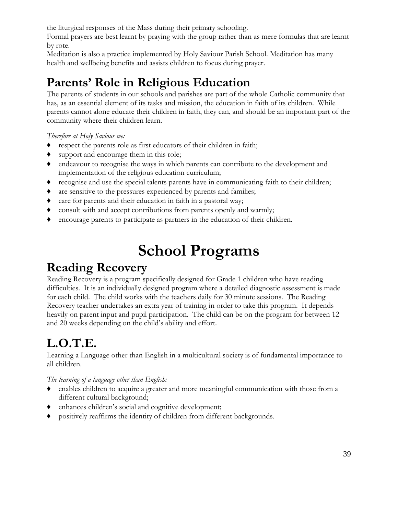the liturgical responses of the Mass during their primary schooling.

Formal prayers are best learnt by praying with the group rather than as mere formulas that are learnt by rote.

Meditation is also a practice implemented by Holy Saviour Parish School. Meditation has many health and wellbeing benefits and assists children to focus during prayer.

### **Parents' Role in Religious Education**

The parents of students in our schools and parishes are part of the whole Catholic community that has, as an essential element of its tasks and mission, the education in faith of its children. While parents cannot alone educate their children in faith, they can, and should be an important part of the community where their children learn.

*Therefore at Holy Saviour we:*

- ♦ respect the parents role as first educators of their children in faith;
- ♦ support and encourage them in this role;
- ♦ endeavour to recognise the ways in which parents can contribute to the development and implementation of the religious education curriculum;
- ♦ recognise and use the special talents parents have in communicating faith to their children;
- ♦ are sensitive to the pressures experienced by parents and families;
- ♦ care for parents and their education in faith in a pastoral way;
- ♦ consult with and accept contributions from parents openly and warmly;
- ♦ encourage parents to participate as partners in the education of their children.

## **School Programs**

### <span id="page-38-0"></span>**Reading Recovery**

Reading Recovery is a program specifically designed for Grade 1 children who have reading difficulties. It is an individually designed program where a detailed diagnostic assessment is made for each child. The child works with the teachers daily for 30 minute sessions. The Reading Recovery teacher undertakes an extra year of training in order to take this program. It depends heavily on parent input and pupil participation. The child can be on the program for between 12 and 20 weeks depending on the child's ability and effort.

### **L.O.T.E.**

Learning a Language other than English in a multicultural society is of fundamental importance to all children.

*The learning of a language other than English:*

- ♦ enables children to acquire a greater and more meaningful communication with those from a different cultural background;
- ♦ enhances children's social and cognitive development;
- ♦ positively reaffirms the identity of children from different backgrounds.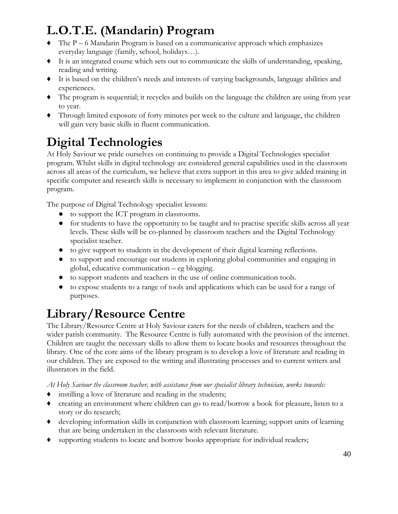## **L.O.T.E. (Mandarin) Program**

- ♦ The P 6 Mandarin Program is based on a communicative approach which emphasizes everyday language (family, school, holidays…).
- ♦ It is an integrated course which sets out to communicate the skills of understanding, speaking, reading and writing.
- ♦ It is based on the children's needs and interests of varying backgrounds, language abilities and experiences.
- ♦ The program is sequential; it recycles and builds on the language the children are using from year to year.
- ♦ Through limited exposure of forty minutes per week to the culture and language, the children will gain very basic skills in fluent communication.

## **Digital Technologies**

At Holy Saviour we pride ourselves on continuing to provide a Digital Technologies specialist program. Whilst skills in digital technology are considered general capabilities used in the classroom across all areas of the curriculum, we believe that extra support in this area to give added training in specific computer and research skills is necessary to implement in conjunction with the classroom program.

The purpose of Digital Technology specialist lessons:

- to support the ICT program in classrooms.
- for students to have the opportunity to be taught and to practise specific skills across all year levels. These skills will be co-planned by classroom teachers and the Digital Technology specialist teacher.
- to give support to students in the development of their digital learning reflections.
- to support and encourage our students in exploring global communities and engaging in global, educative communication – eg blogging.
- to support students and teachers in the use of online communication tools.
- to expose students to a range of tools and applications which can be used for a range of purposes.

## **Library/Resource Centre**

The Library/Resource Centre at Holy Saviour caters for the needs of children, teachers and the wider parish community. The Resource Centre is fully automated with the provision of the internet. Children are taught the necessary skills to allow them to locate books and resources throughout the library. One of the core aims of the library program is to develop a love of literature and reading in our children. They are exposed to the writing and illustrating processes and to current writers and illustrators in the field.

*At Holy Saviour the classroom teacher, with assistance from our specialist library technician, works towards:*

- ♦ instilling a love of literature and reading in the students;
- ♦ creating an environment where children can go to read/borrow a book for pleasure, listen to a story or do research;
- ♦ developing information skills in conjunction with classroom learning; support units of learning that are being undertaken in the classroom with relevant literature.
- ♦ supporting students to locate and borrow books appropriate for individual readers;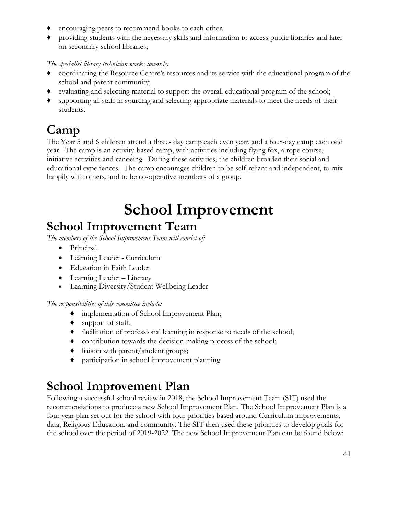- encouraging peers to recommend books to each other.
- providing students with the necessary skills and information to access public libraries and later on secondary school libraries;

#### *The specialist library technician works towards:*

- ♦ coordinating the Resource Centre's resources and its service with the educational program of the school and parent community;
- ♦ evaluating and selecting material to support the overall educational program of the school;
- supporting all staff in sourcing and selecting appropriate materials to meet the needs of their students.

### **Camp**

The Year 5 and 6 children attend a three- day camp each even year, and a four-day camp each odd year. The camp is an activity-based camp, with activities including flying fox, a rope course, initiative activities and canoeing. During these activities, the children broaden their social and educational experiences. The camp encourages children to be self-reliant and independent, to mix happily with others, and to be co-operative members of a group.

## **School Improvement**

### <span id="page-40-0"></span>**School Improvement Team**

*The members of the School Improvement Team will consist of:*

- Principal
- Learning Leader Curriculum
- Education in Faith Leader
- Learning Leader Literacy
- Learning Diversity/Student Wellbeing Leader

*The responsibilities of this committee include:*

- ♦ implementation of School Improvement Plan;
- ♦ support of staff;
- ♦ facilitation of professional learning in response to needs of the school;
- ♦ contribution towards the decision-making process of the school;
- ♦ liaison with parent/student groups;
- ♦ participation in school improvement planning.

### **School Improvement Plan**

Following a successful school review in 2018, the School Improvement Team (SIT) used the recommendations to produce a new School Improvement Plan. The School Improvement Plan is a four year plan set out for the school with four priorities based around Curriculum improvements, data, Religious Education, and community. The SIT then used these priorities to develop goals for the school over the period of 2019-2022. The new School Improvement Plan can be found below: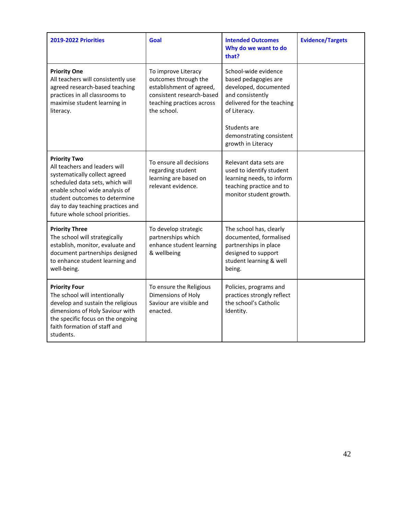| 2019-2022 Priorities                                                                                                                                                                                                                                                | Goal                                                                                                                                             | <b>Intended Outcomes</b><br>Why do we want to do<br>that?                                                                                                                                                 | <b>Evidence/Targets</b> |
|---------------------------------------------------------------------------------------------------------------------------------------------------------------------------------------------------------------------------------------------------------------------|--------------------------------------------------------------------------------------------------------------------------------------------------|-----------------------------------------------------------------------------------------------------------------------------------------------------------------------------------------------------------|-------------------------|
| <b>Priority One</b><br>All teachers will consistently use<br>agreed research-based teaching<br>practices in all classrooms to<br>maximise student learning in<br>literacy.                                                                                          | To improve Literacy<br>outcomes through the<br>establishment of agreed,<br>consistent research-based<br>teaching practices across<br>the school. | School-wide evidence<br>based pedagogies are<br>developed, documented<br>and consistently<br>delivered for the teaching<br>of Literacy.<br>Students are<br>demonstrating consistent<br>growth in Literacy |                         |
| <b>Priority Two</b><br>All teachers and leaders will<br>systematically collect agreed<br>scheduled data sets, which will<br>enable school wide analysis of<br>student outcomes to determine<br>day to day teaching practices and<br>future whole school priorities. | To ensure all decisions<br>regarding student<br>learning are based on<br>relevant evidence.                                                      | Relevant data sets are<br>used to identify student<br>learning needs, to inform<br>teaching practice and to<br>monitor student growth.                                                                    |                         |
| <b>Priority Three</b><br>The school will strategically<br>establish, monitor, evaluate and<br>document partnerships designed<br>to enhance student learning and<br>well-being.                                                                                      | To develop strategic<br>partnerships which<br>enhance student learning<br>& wellbeing                                                            | The school has, clearly<br>documented, formalised<br>partnerships in place<br>designed to support<br>student learning & well<br>being.                                                                    |                         |
| <b>Priority Four</b><br>The school will intentionally<br>develop and sustain the religious<br>dimensions of Holy Saviour with<br>the specific focus on the ongoing<br>faith formation of staff and<br>students.                                                     | To ensure the Religious<br>Dimensions of Holy<br>Saviour are visible and<br>enacted.                                                             | Policies, programs and<br>practices strongly reflect<br>the school's Catholic<br>Identity.                                                                                                                |                         |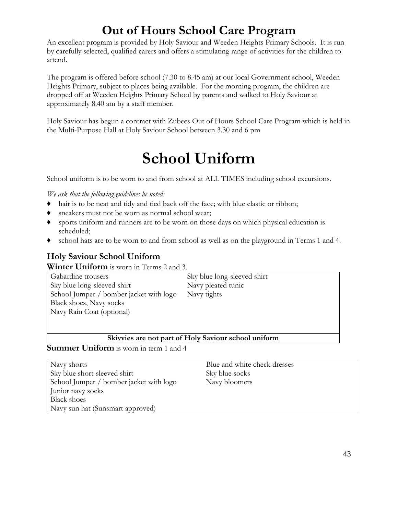### **Out of Hours School Care Program**

<span id="page-42-0"></span>An excellent program is provided by Holy Saviour and Weeden Heights Primary Schools. It is run by carefully selected, qualified carers and offers a stimulating range of activities for the children to attend.

The program is offered before school (7.30 to 8.45 am) at our local Government school, Weeden Heights Primary, subject to places being available. For the morning program, the children are dropped off at Weeden Heights Primary School by parents and walked to Holy Saviour at approximately 8.40 am by a staff member.

Holy Saviour has begun a contract with Zubees Out of Hours School Care Program which is held in the Multi-Purpose Hall at Holy Saviour School between 3.30 and 6 pm

## **School Uniform**

<span id="page-42-1"></span>School uniform is to be worn to and from school at ALL TIMES including school excursions.

*We ask that the following guidelines be noted:*

- ♦ hair is to be neat and tidy and tied back off the face; with blue elastic or ribbon;
- ♦ sneakers must not be worn as normal school wear;
- ♦ sports uniform and runners are to be worn on those days on which physical education is scheduled;
- ♦ school hats are to be worn to and from school as well as on the playground in Terms 1 and 4.

#### **Holy Saviour School Uniform**

**Winter Uniform** is worn in Terms 2 and 3.

Gabardine trousers Sky blue long-sleeved shirt School Jumper / bomber jacket with logo Black shoes, Navy socks Navy Rain Coat (optional)

Sky blue long-sleeved shirt Navy pleated tunic Navy tights

#### **Skivvies are not part of Holy Saviour school uniform**

**Summer Uniform** is worn in term 1 and 4

Navy shorts Sky blue short-sleeved shirt School Jumper / bomber jacket with logo Junior navy socks Black shoes Navy sun hat (Sunsmart approved)

Blue and white check dresses Sky blue socks Navy bloomers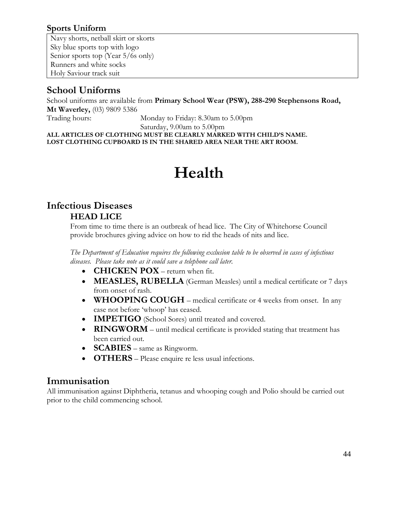#### **Sports Uniform**

Navy shorts, netball skirt or skorts Sky blue sports top with logo Senior sports top (Year 5/6s only) Runners and white socks Holy Saviour track suit

### **School Uniforms**

School uniforms are available from **Primary School Wear (PSW), 288-290 Stephensons Road, Mt Waverley,** (03) 9809 5386

Trading hours: Monday to Friday: 8.30am to 5.00pm

Saturday, 9.00am to 5.00pm

<span id="page-43-0"></span>**ALL ARTICLES OF CLOTHING MUST BE CLEARLY MARKED WITH CHILD'S NAME. LOST CLOTHING CUPBOARD IS IN THE SHARED AREA NEAR THE ART ROOM.**

## **Health**

#### **Infectious Diseases HEAD LICE**

From time to time there is an outbreak of head lice. The City of Whitehorse Council provide brochures giving advice on how to rid the heads of nits and lice.

*The Department of Education requires the following exclusion table to be observed in cases of infectious diseases. Please take note as it could save a telephone call later.*

- **CHICKEN POX** return when fit.
- **MEASLES, RUBELLA** (German Measles) until a medical certificate or 7 days from onset of rash.
- **WHOOPING COUGH**  medical certificate or 4 weeks from onset. In any case not before 'whoop' has ceased.
- **IMPETIGO** (School Sores) until treated and covered.
- **RINGWORM** until medical certificate is provided stating that treatment has been carried out.
- **SCABIES** same as Ringworm.
- **OTHERS** Please enquire re less usual infections.

#### **Immunisation**

<span id="page-43-1"></span>All immunisation against Diphtheria, tetanus and whooping cough and Polio should be carried out prior to the child commencing school.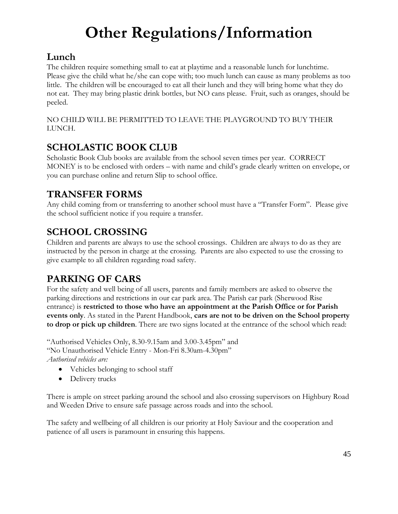## **Other Regulations/Information**

### **Lunch**

The children require something small to eat at playtime and a reasonable lunch for lunchtime. Please give the child what he/she can cope with; too much lunch can cause as many problems as too little. The children will be encouraged to eat all their lunch and they will bring home what they do not eat. They may bring plastic drink bottles, but NO cans please. Fruit, such as oranges, should be peeled.

NO CHILD WILL BE PERMITTED TO LEAVE THE PLAYGROUND TO BUY THEIR LUNCH.

### **SCHOLASTIC BOOK CLUB**

Scholastic Book Club books are available from the school seven times per year. CORRECT MONEY is to be enclosed with orders – with name and child's grade clearly written on envelope, or you can purchase online and return Slip to school office.

### **TRANSFER FORMS**

Any child coming from or transferring to another school must have a "Transfer Form". Please give the school sufficient notice if you require a transfer.

### **SCHOOL CROSSING**

Children and parents are always to use the school crossings. Children are always to do as they are instructed by the person in charge at the crossing. Parents are also expected to use the crossing to give example to all children regarding road safety.

### **PARKING OF CARS**

For the safety and well being of all users, parents and family members are asked to observe the parking directions and restrictions in our car park area. The Parish car park (Sherwood Rise entrance) is **restricted to those who have an appointment at the Parish Office or for Parish events only**. As stated in the Parent Handbook, **cars are not to be driven on the School property to drop or pick up children**. There are two signs located at the entrance of the school which read:

"Authorised Vehicles Only, 8.30-9.15am and 3.00-3.45pm" and "No Unauthorised Vehicle Entry - Mon-Fri 8.30am-4.30pm" *Authorised vehicles are:*

- Vehicles belonging to school staff
- Delivery trucks

There is ample on street parking around the school and also crossing supervisors on Highbury Road and Weeden Drive to ensure safe passage across roads and into the school.

The safety and wellbeing of all children is our priority at Holy Saviour and the cooperation and patience of all users is paramount in ensuring this happens.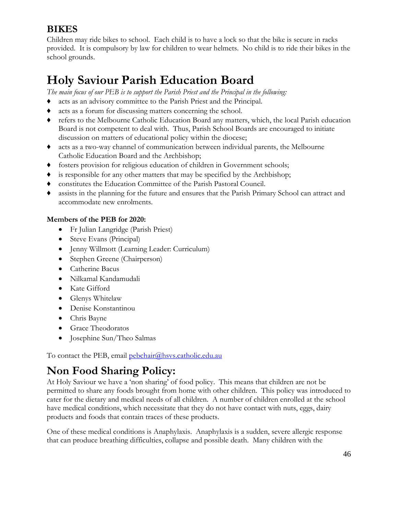#### **BIKES**

Children may ride bikes to school. Each child is to have a lock so that the bike is secure in racks provided. It is compulsory by law for children to wear helmets. No child is to ride their bikes in the school grounds.

### <span id="page-45-0"></span>**Holy Saviour Parish Education Board**

*The main focus of our PEB is to support the Parish Priest and the Principal in the following:*

- ♦ acts as an advisory committee to the Parish Priest and the Principal.
- ♦ acts as a forum for discussing matters concerning the school.
- ♦ refers to the Melbourne Catholic Education Board any matters, which, the local Parish education Board is not competent to deal with. Thus, Parish School Boards are encouraged to initiate discussion on matters of educational policy within the diocese;
- ♦ acts as a two-way channel of communication between individual parents, the Melbourne Catholic Education Board and the Archbishop;
- ♦ fosters provision for religious education of children in Government schools;
- ♦ is responsible for any other matters that may be specified by the Archbishop;
- ♦ constitutes the Education Committee of the Parish Pastoral Council.
- ♦ assists in the planning for the future and ensures that the Parish Primary School can attract and accommodate new enrolments.

#### **Members of the PEB for 2020:**

- Fr Julian Langridge (Parish Priest)
- Steve Evans (Principal)
- Jenny Willmott (Learning Leader: Curriculum)
- Stephen Greene (Chairperson)
- Catherine Bacus
- Nilkamal Kandamudali
- Kate Gifford
- Glenys Whitelaw
- Denise Konstantinou
- Chris Bayne
- Grace Theodoratos
- Josephine Sun/Theo Salmas

To contact the PEB, email [pebchair@hsvs.catholic.edu.au](mailto:pebchair@hsvs.catholic.edu.au)

### <span id="page-45-1"></span>**Non Food Sharing Policy:**

At Holy Saviour we have a 'non sharing' of food policy. This means that children are not be permitted to share any foods brought from home with other children. This policy was introduced to cater for the dietary and medical needs of all children. A number of children enrolled at the school have medical conditions, which necessitate that they do not have contact with nuts, eggs, dairy products and foods that contain traces of these products.

One of these medical conditions is Anaphylaxis. Anaphylaxis is a sudden, severe allergic response that can produce breathing difficulties, collapse and possible death. Many children with the